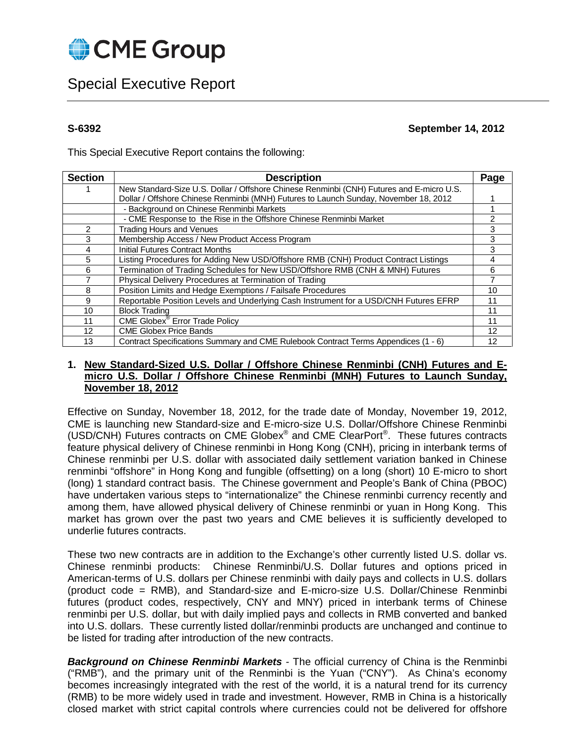

# Special Executive Report

## **S-6392 September 14, 2012**

This Special Executive Report contains the following:

| <b>Section</b>  | <b>Description</b>                                                                       | Page |
|-----------------|------------------------------------------------------------------------------------------|------|
|                 | New Standard-Size U.S. Dollar / Offshore Chinese Renminbi (CNH) Futures and E-micro U.S. |      |
|                 | Dollar / Offshore Chinese Renminbi (MNH) Futures to Launch Sunday, November 18, 2012     |      |
|                 | - Background on Chinese Renminbi Markets                                                 |      |
|                 | - CME Response to the Rise in the Offshore Chinese Renminbi Market                       | 2    |
| $\mathcal{P}$   | <b>Trading Hours and Venues</b>                                                          | 3    |
| 3               | Membership Access / New Product Access Program                                           | 3    |
| 4               | Initial Futures Contract Months                                                          | 3    |
| 5               | Listing Procedures for Adding New USD/Offshore RMB (CNH) Product Contract Listings       | 4    |
| 6               | Termination of Trading Schedules for New USD/Offshore RMB (CNH & MNH) Futures            | 6    |
| 7               | Physical Delivery Procedures at Termination of Trading                                   | 7    |
| 8               | Position Limits and Hedge Exemptions / Failsafe Procedures                               | 10   |
| 9               | Reportable Position Levels and Underlying Cash Instrument for a USD/CNH Futures EFRP     | 11   |
| 10              | <b>Block Trading</b>                                                                     | 11   |
| 11              | CME Globex <sup>®</sup> Error Trade Policy                                               | 11   |
| 12 <sup>2</sup> | <b>CME Globex Price Bands</b>                                                            | 12   |
| 13              | Contract Specifications Summary and CME Rulebook Contract Terms Appendices (1 - 6)       | 12   |

## **1. New Standard-Sized U.S. Dollar / Offshore Chinese Renminbi (CNH) Futures and Emicro U.S. Dollar / Offshore Chinese Renminbi (MNH) Futures to Launch Sunday, November 18, 2012**

Effective on Sunday, November 18, 2012, for the trade date of Monday, November 19, 2012, CME is launching new Standard-size and E-micro-size U.S. Dollar/Offshore Chinese Renminbi (USD/CNH) Futures contracts on CME Globex® and CME ClearPort®. These futures contracts feature physical delivery of Chinese renminbi in Hong Kong (CNH), pricing in interbank terms of Chinese renminbi per U.S. dollar with associated daily settlement variation banked in Chinese renminbi "offshore" in Hong Kong and fungible (offsetting) on a long (short) 10 E-micro to short (long) 1 standard contract basis. The Chinese government and People's Bank of China (PBOC) have undertaken various steps to "internationalize" the Chinese renminbi currency recently and among them, have allowed physical delivery of Chinese renminbi or yuan in Hong Kong. This market has grown over the past two years and CME believes it is sufficiently developed to underlie futures contracts.

These two new contracts are in addition to the Exchange's other currently listed U.S. dollar vs. Chinese renminbi products: Chinese Renminbi/U.S. Dollar futures and options priced in American-terms of U.S. dollars per Chinese renminbi with daily pays and collects in U.S. dollars (product code = RMB), and Standard-size and E-micro-size U.S. Dollar/Chinese Renminbi futures (product codes, respectively, CNY and MNY) priced in interbank terms of Chinese renminbi per U.S. dollar, but with daily implied pays and collects in RMB converted and banked into U.S. dollars. These currently listed dollar/renminbi products are unchanged and continue to be listed for trading after introduction of the new contracts.

<span id="page-0-0"></span>*Background on Chinese Renminbi Markets -* The official currency of China is the Renminbi ("RMB"), and the primary unit of the Renminbi is the Yuan ("CNY"). As China's economy becomes increasingly integrated with the rest of the world, it is a natural trend for its currency (RMB) to be more widely used in trade and investment. However, RMB in China is a historically closed market with strict capital controls where currencies could not be delivered for offshore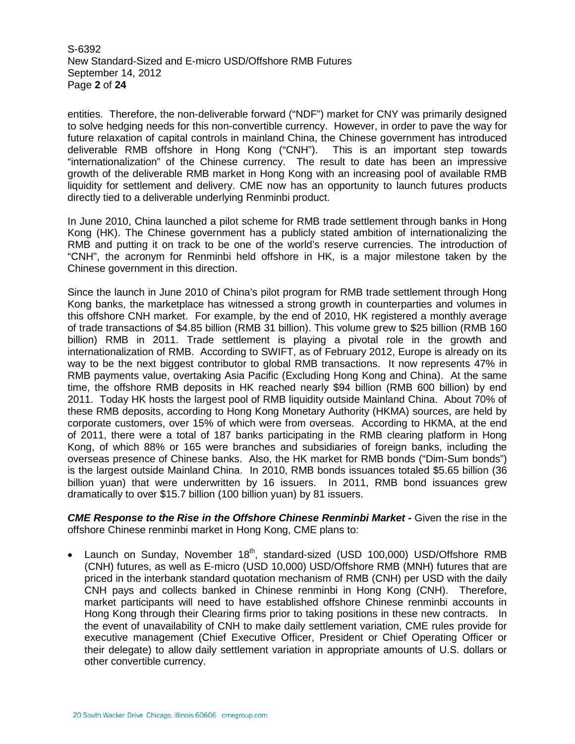S-6392 New Standard-Sized and E-micro USD/Offshore RMB Futures September 14, 2012 Page **2** of **24**

entities. Therefore, the non-deliverable forward ("NDF") market for CNY was primarily designed to solve hedging needs for this non-convertible currency. However, in order to pave the way for future relaxation of capital controls in mainland China, the Chinese government has introduced deliverable RMB offshore in Hong Kong ("CNH"). This is an important step towards "internationalization" of the Chinese currency. The result to date has been an impressive growth of the deliverable RMB market in Hong Kong with an increasing pool of available RMB liquidity for settlement and delivery. CME now has an opportunity to launch futures products directly tied to a deliverable underlying Renminbi product.

In June 2010, China launched a pilot scheme for RMB trade settlement through banks in Hong Kong (HK). The Chinese government has a publicly stated ambition of internationalizing the RMB and putting it on track to be one of the world's reserve currencies. The introduction of "CNH", the acronym for Renminbi held offshore in HK, is a major milestone taken by the Chinese government in this direction.

Since the launch in June 2010 of China's pilot program for RMB trade settlement through Hong Kong banks, the marketplace has witnessed a strong growth in counterparties and volumes in this offshore CNH market. For example, by the end of 2010, HK registered a monthly average of trade transactions of \$4.85 billion (RMB 31 billion). This volume grew to \$25 billion (RMB 160 billion) RMB in 2011. Trade settlement is playing a pivotal role in the growth and internationalization of RMB. According to SWIFT, as of February 2012, Europe is already on its way to be the next biggest contributor to global RMB transactions. It now represents 47% in RMB payments value, overtaking Asia Pacific (Excluding Hong Kong and China). At the same time, the offshore RMB deposits in HK reached nearly \$94 billion (RMB 600 billion) by end 2011. Today HK hosts the largest pool of RMB liquidity outside Mainland China. About 70% of these RMB deposits, according to Hong Kong Monetary Authority (HKMA) sources, are held by corporate customers, over 15% of which were from overseas. According to HKMA, at the end of 2011, there were a total of 187 banks participating in the RMB clearing platform in Hong Kong, of which 88% or 165 were branches and subsidiaries of foreign banks, including the overseas presence of Chinese banks. Also, the HK market for RMB bonds ("Dim-Sum bonds") is the largest outside Mainland China. In 2010, RMB bonds issuances totaled \$5.65 billion (36 billion yuan) that were underwritten by 16 issuers. In 2011, RMB bond issuances grew dramatically to over \$15.7 billion (100 billion yuan) by 81 issuers.

*CME Response to the Rise in the Offshore Chinese Renminbi Market -* Given the rise in the offshore Chinese renminbi market in Hong Kong, CME plans to:

Launch on Sunday, November 18<sup>th</sup>, standard-sized (USD 100,000) USD/Offshore RMB (CNH) futures, as well as E-micro (USD 10,000) USD/Offshore RMB (MNH) futures that are priced in the interbank standard quotation mechanism of RMB (CNH) per USD with the daily CNH pays and collects banked in Chinese renminbi in Hong Kong (CNH). Therefore, market participants will need to have established offshore Chinese renminbi accounts in Hong Kong through their Clearing firms prior to taking positions in these new contracts. In the event of unavailability of CNH to make daily settlement variation, CME rules provide for executive management (Chief Executive Officer, President or Chief Operating Officer or their delegate) to allow daily settlement variation in appropriate amounts of U.S. dollars or other convertible currency.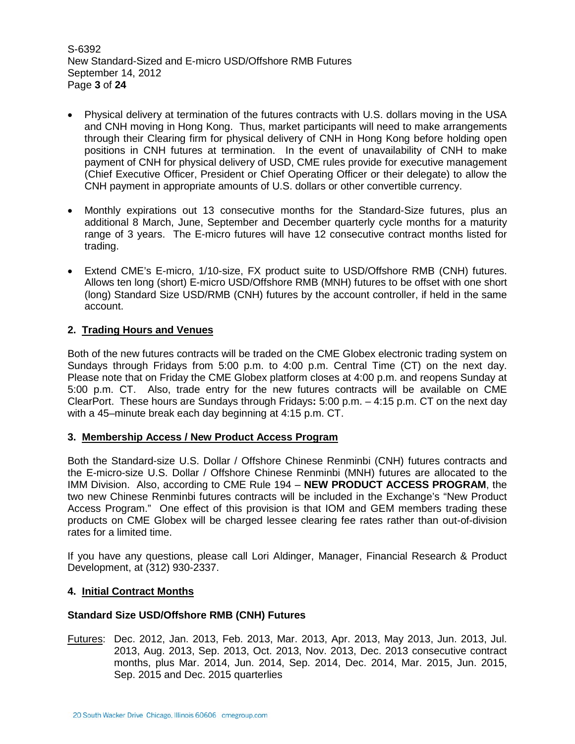S-6392 New Standard-Sized and E-micro USD/Offshore RMB Futures September 14, 2012 Page **3** of **24**

- Physical delivery at termination of the futures contracts with U.S. dollars moving in the USA and CNH moving in Hong Kong. Thus, market participants will need to make arrangements through their Clearing firm for physical delivery of CNH in Hong Kong before holding open positions in CNH futures at termination. In the event of unavailability of CNH to make payment of CNH for physical delivery of USD, CME rules provide for executive management (Chief Executive Officer, President or Chief Operating Officer or their delegate) to allow the CNH payment in appropriate amounts of U.S. dollars or other convertible currency.
- Monthly expirations out 13 consecutive months for the Standard-Size futures, plus an additional 8 March, June, September and December quarterly cycle months for a maturity range of 3 years. The E-micro futures will have 12 consecutive contract months listed for trading.
- Extend CME's E-micro, 1/10-size, FX product suite to USD/Offshore RMB (CNH) futures. Allows ten long (short) E-micro USD/Offshore RMB (MNH) futures to be offset with one short (long) Standard Size USD/RMB (CNH) futures by the account controller, if held in the same account.

## **2. Trading Hours and Venues**

Both of the new futures contracts will be traded on the CME Globex electronic trading system on Sundays through Fridays from 5:00 p.m. to 4:00 p.m. Central Time (CT) on the next day. Please note that on Friday the CME Globex platform closes at 4:00 p.m. and reopens Sunday at 5:00 p.m. CT. Also, trade entry for the new futures contracts will be available on CME ClearPort. These hours are Sundays through Fridays**:** 5:00 p.m. – 4:15 p.m. CT on the next day with a 45–minute break each day beginning at 4:15 p.m. CT.

## **3. Membership Access / New Product Access Program**

Both the Standard-size U.S. Dollar / Offshore Chinese Renminbi (CNH) futures contracts and the E-micro-size U.S. Dollar / Offshore Chinese Renminbi (MNH) futures are allocated to the IMM Division. Also, according to CME Rule 194 – **NEW PRODUCT ACCESS PROGRAM**, the two new Chinese Renminbi futures contracts will be included in the Exchange's "New Product Access Program." One effect of this provision is that IOM and GEM members trading these products on CME Globex will be charged lessee clearing fee rates rather than out-of-division rates for a limited time.

If you have any questions, please call Lori Aldinger, Manager, Financial Research & Product Development, at (312) 930-2337.

## **4. Initial Contract Months**

## **Standard Size USD/Offshore RMB (CNH) Futures**

Futures: Dec. 2012, Jan. 2013, Feb. 2013, Mar. 2013, Apr. 2013, May 2013, Jun. 2013, Jul. 2013, Aug. 2013, Sep. 2013, Oct. 2013, Nov. 2013, Dec. 2013 consecutive contract months, plus Mar. 2014, Jun. 2014, Sep. 2014, Dec. 2014, Mar. 2015, Jun. 2015, Sep. 2015 and Dec. 2015 quarterlies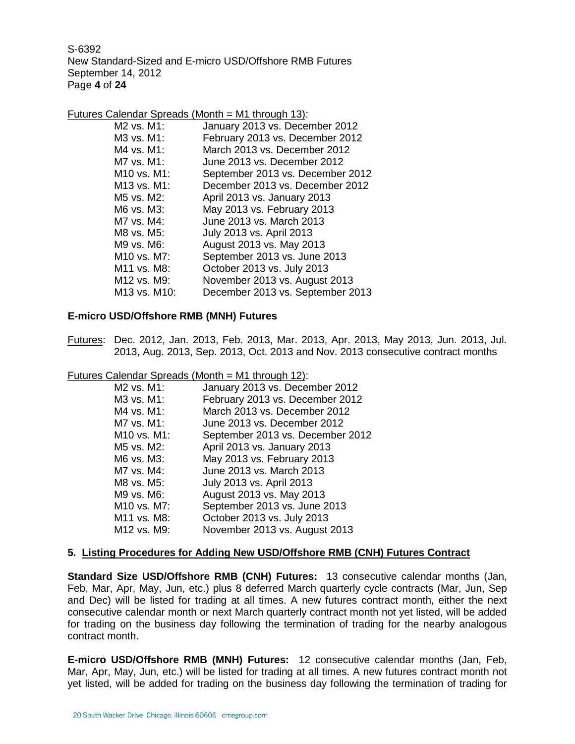S-6392 New Standard-Sized and E-micro USD/Offshore RMB Futures September 14, 2012 Page **4** of **24**

Futures Calendar Spreads (Month = M1 through 13):

| M <sub>2</sub> vs. M <sub>1</sub> :  | January 2013 vs. December 2012   |
|--------------------------------------|----------------------------------|
| M3 vs. M1:                           | February 2013 vs. December 2012  |
| M4 vs. M1:                           | March 2013 vs. December 2012     |
| M7 vs. M1:                           | June 2013 vs. December 2012      |
| M <sub>10</sub> vs. M <sub>1</sub> : | September 2013 vs. December 2012 |
| M <sub>13</sub> vs. M <sub>1</sub> : | December 2013 vs. December 2012  |
| M5 vs. M2:                           | April 2013 vs. January 2013      |
| M6 vs. M3:                           | May 2013 vs. February 2013       |
| M7 vs. M4:                           | June 2013 vs. March 2013         |
| M8 vs. M5:                           | July 2013 vs. April 2013         |
| M9 vs. M6:                           | August 2013 vs. May 2013         |
| M <sub>10</sub> vs. M <sub>7</sub> : | September 2013 vs. June 2013     |
| M <sub>11</sub> vs. M <sub>8</sub> : | October 2013 vs. July 2013       |
| M <sub>12</sub> vs. M <sub>9</sub> : | November 2013 vs. August 2013    |
| M13 vs. M10:                         | December 2013 vs. September 2013 |
|                                      |                                  |

## **E-micro USD/Offshore RMB (MNH) Futures**

Futures: Dec. 2012, Jan. 2013, Feb. 2013, Mar. 2013, Apr. 2013, May 2013, Jun. 2013, Jul. 2013, Aug. 2013, Sep. 2013, Oct. 2013 and Nov. 2013 consecutive contract months

Futures Calendar Spreads (Month = M1 through 12):

| M <sub>2</sub> vs. M <sub>1</sub> :  | January 2013 vs. December 2012   |
|--------------------------------------|----------------------------------|
| M3 vs. M1:                           | February 2013 vs. December 2012  |
| M4 vs. M1:                           | March 2013 vs. December 2012     |
| M7 vs. M1:                           | June 2013 vs. December 2012      |
| M10 vs. M1:                          | September 2013 vs. December 2012 |
| M5 vs. M2:                           | April 2013 vs. January 2013      |
| M6 vs. M3:                           | May 2013 vs. February 2013       |
| M7 vs. M4:                           | June 2013 vs. March 2013         |
| M8 vs. M5:                           | July 2013 vs. April 2013         |
| M9 vs. M6:                           | August 2013 vs. May 2013         |
| M10 vs. M7:                          | September 2013 vs. June 2013     |
| M11 vs. M8:                          | October 2013 vs. July 2013       |
| M <sub>12</sub> vs. M <sub>9</sub> : | November 2013 vs. August 2013    |

## **5. Listing Procedures for Adding New USD/Offshore RMB (CNH) Futures Contract**

**Standard Size USD/Offshore RMB (CNH) Futures:** 13 consecutive calendar months (Jan, Feb, Mar, Apr, May, Jun, etc.) plus 8 deferred March quarterly cycle contracts (Mar, Jun, Sep and Dec) will be listed for trading at all times. A new futures contract month, either the next consecutive calendar month or next March quarterly contract month not yet listed, will be added for trading on the business day following the termination of trading for the nearby analogous contract month.

**E-micro USD/Offshore RMB (MNH) Futures:** 12 consecutive calendar months (Jan, Feb, Mar, Apr, May, Jun, etc.) will be listed for trading at all times. A new futures contract month not yet listed, will be added for trading on the business day following the termination of trading for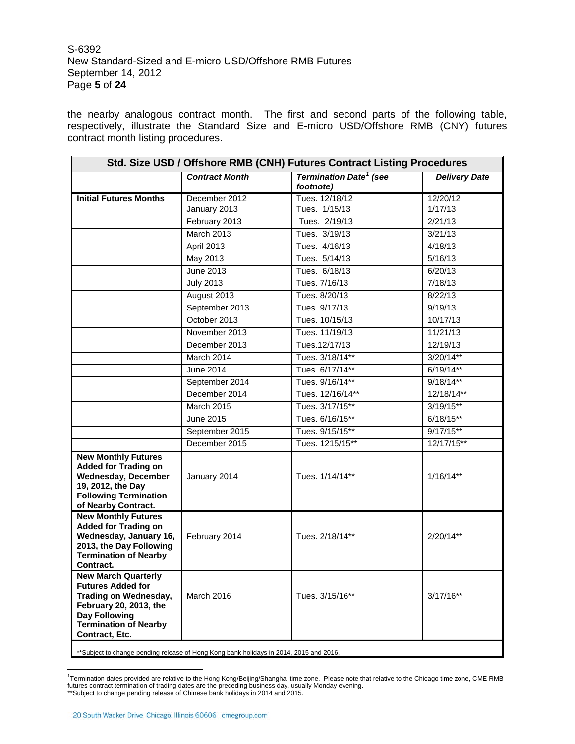S-6392 New Standard-Sized and E-micro USD/Offshore RMB Futures September 14, 2012 Page **5** of **24**

the nearby analogous contract month. The first and second parts of the following table, respectively, illustrate the Standard Size and E-micro USD/Offshore RMB (CNY) futures contract month listing procedures.

| Std. Size USD / Offshore RMB (CNH) Futures Contract Listing Procedures                                                                                                                     |                       |                                                       |                      |  |  |
|--------------------------------------------------------------------------------------------------------------------------------------------------------------------------------------------|-----------------------|-------------------------------------------------------|----------------------|--|--|
|                                                                                                                                                                                            | <b>Contract Month</b> | <b>Termination Date<sup>1</sup></b> (see<br>footnote) | <b>Delivery Date</b> |  |  |
| <b>Initial Futures Months</b>                                                                                                                                                              | December 2012         | Tues. 12/18/12                                        | 12/20/12             |  |  |
|                                                                                                                                                                                            | January 2013          | Tues. 1/15/13                                         | 1/17/13              |  |  |
|                                                                                                                                                                                            | February 2013         | Tues. 2/19/13                                         | 2/21/13              |  |  |
|                                                                                                                                                                                            | March 2013            | Tues. 3/19/13                                         | 3/21/13              |  |  |
|                                                                                                                                                                                            | April 2013            | Tues. 4/16/13                                         | 4/18/13              |  |  |
|                                                                                                                                                                                            | May 2013              | Tues. 5/14/13                                         | 5/16/13              |  |  |
|                                                                                                                                                                                            | <b>June 2013</b>      | Tues. 6/18/13                                         | 6/20/13              |  |  |
|                                                                                                                                                                                            | <b>July 2013</b>      | Tues. 7/16/13                                         | 7/18/13              |  |  |
|                                                                                                                                                                                            | August 2013           | Tues. 8/20/13                                         | 8/22/13              |  |  |
|                                                                                                                                                                                            | September 2013        | Tues. 9/17/13                                         | 9/19/13              |  |  |
|                                                                                                                                                                                            | October 2013          | Tues. 10/15/13                                        | 10/17/13             |  |  |
|                                                                                                                                                                                            | November 2013         | Tues. 11/19/13                                        | 11/21/13             |  |  |
|                                                                                                                                                                                            | December 2013         | Tues.12/17/13                                         | 12/19/13             |  |  |
|                                                                                                                                                                                            | March 2014            | Tues. 3/18/14**                                       | $3/20/14**$          |  |  |
|                                                                                                                                                                                            | June 2014             | Tues. 6/17/14**                                       | $6/19/14**$          |  |  |
|                                                                                                                                                                                            | September 2014        | Tues. 9/16/14**                                       | $9/18/14**$          |  |  |
|                                                                                                                                                                                            | December 2014         | Tues. 12/16/14**                                      | 12/18/14**           |  |  |
|                                                                                                                                                                                            | March 2015            | Tues. 3/17/15**                                       | $3/19/15**$          |  |  |
|                                                                                                                                                                                            | June 2015             | Tues. 6/16/15**                                       | $6/18/15**$          |  |  |
|                                                                                                                                                                                            | September 2015        | Tues. 9/15/15**                                       | $9/17/15**$          |  |  |
|                                                                                                                                                                                            | December 2015         | Tues. 1215/15**                                       | 12/17/15**           |  |  |
| <b>New Monthly Futures</b><br><b>Added for Trading on</b><br><b>Wednesday, December</b><br>19, 2012, the Day<br><b>Following Termination</b><br>of Nearby Contract.                        | January 2014          | Tues. 1/14/14**                                       | $1/16/14**$          |  |  |
| <b>New Monthly Futures</b><br><b>Added for Trading on</b><br>Wednesday, January 16,<br>2013, the Day Following<br><b>Termination of Nearby</b><br>Contract.                                | February 2014         | Tues. 2/18/14**                                       | $2/20/14**$          |  |  |
| <b>New March Quarterly</b><br><b>Futures Added for</b><br><b>Trading on Wednesday,</b><br>February 20, 2013, the<br><b>Day Following</b><br><b>Termination of Nearby</b><br>Contract, Etc. | March 2016            | Tues. 3/15/16**                                       | $3/17/16**$          |  |  |
| **Subiect to change pending release of Hong Kong bank holidays in 2014, 2015 and 2016.                                                                                                     |                       |                                                       |                      |  |  |

\*\*Subject to change pending release of Hong Kong bank holidays in 2014, 2015 and 2016.

<span id="page-4-0"></span><sup>-&</sup>lt;br>1. Termination dates provided are relative to the Hong Kong/Beijing/Shanghai time zone. Please note that relative to the Chicago time zone, CME RMB futures contract termination of trading dates are the preceding business day, usually Monday evening. \*\*Subject to change pending release of Chinese bank holidays in 2014 and 2015.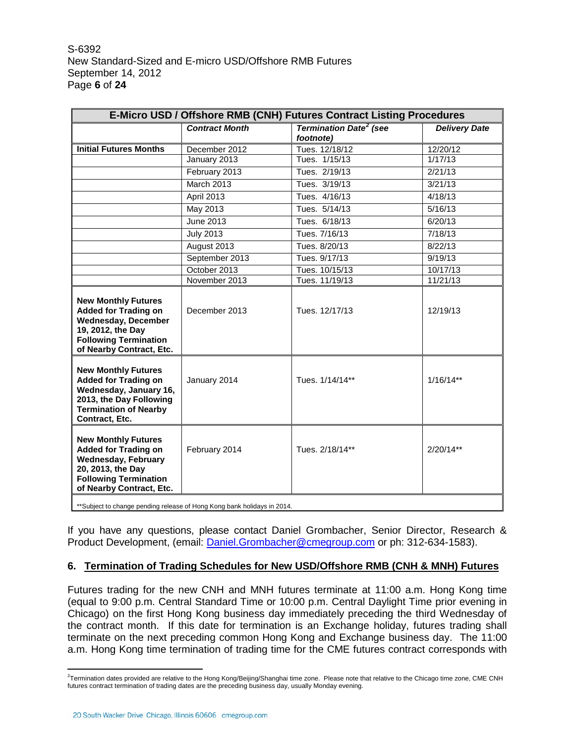S-6392 New Standard-Sized and E-micro USD/Offshore RMB Futures September 14, 2012 Page **6** of **24**

| E-Micro USD / Offshore RMB (CNH) Futures Contract Listing Procedures                                                                                                     |                       |                                                       |                      |  |  |  |
|--------------------------------------------------------------------------------------------------------------------------------------------------------------------------|-----------------------|-------------------------------------------------------|----------------------|--|--|--|
|                                                                                                                                                                          | <b>Contract Month</b> | <b>Termination Date<sup>2</sup></b> (see<br>footnote) | <b>Delivery Date</b> |  |  |  |
| <b>Initial Futures Months</b>                                                                                                                                            | December 2012         | Tues. 12/18/12                                        | 12/20/12             |  |  |  |
|                                                                                                                                                                          | January 2013          | Tues. 1/15/13                                         | 1/17/13              |  |  |  |
|                                                                                                                                                                          | February 2013         | Tues. 2/19/13                                         | 2/21/13              |  |  |  |
|                                                                                                                                                                          | <b>March 2013</b>     | Tues. 3/19/13                                         | 3/21/13              |  |  |  |
|                                                                                                                                                                          | April 2013            | Tues. 4/16/13                                         | 4/18/13              |  |  |  |
|                                                                                                                                                                          | May 2013              | Tues. 5/14/13                                         | 5/16/13              |  |  |  |
|                                                                                                                                                                          | June 2013             | Tues. 6/18/13                                         | 6/20/13              |  |  |  |
|                                                                                                                                                                          | <b>July 2013</b>      | Tues. 7/16/13                                         | 7/18/13              |  |  |  |
|                                                                                                                                                                          | August 2013           | Tues. 8/20/13                                         | 8/22/13              |  |  |  |
|                                                                                                                                                                          | September 2013        | Tues. 9/17/13                                         | 9/19/13              |  |  |  |
|                                                                                                                                                                          | October 2013          | Tues. 10/15/13                                        | 10/17/13             |  |  |  |
|                                                                                                                                                                          | November 2013         | Tues. 11/19/13                                        | 11/21/13             |  |  |  |
| <b>New Monthly Futures</b><br><b>Added for Trading on</b><br><b>Wednesday, December</b><br>19, 2012, the Day<br><b>Following Termination</b><br>of Nearby Contract, Etc. | December 2013         | Tues. 12/17/13                                        | 12/19/13             |  |  |  |
| <b>New Monthly Futures</b><br><b>Added for Trading on</b><br>Wednesday, January 16,<br>2013, the Day Following<br><b>Termination of Nearby</b><br>Contract, Etc.         | January 2014          | Tues. 1/14/14**                                       | $1/16/14**$          |  |  |  |
| <b>New Monthly Futures</b><br><b>Added for Trading on</b><br><b>Wednesday, February</b><br>20, 2013, the Day<br><b>Following Termination</b><br>of Nearby Contract, Etc. | February 2014         | Tues. 2/18/14**                                       | $2/20/14**$          |  |  |  |
| ** Subject to change pending release of Hong Kong bank holidays in 2014.                                                                                                 |                       |                                                       |                      |  |  |  |

If you have any questions, please contact Daniel Grombacher, Senior Director, Research & Product Development, (email: [Daniel.Grombacher@cmegroup.com](mailto:Daniel.Grombacher@cmegroup.com) or ph: 312-634-1583).

## **6. Termination of Trading Schedules for New USD/Offshore RMB (CNH & MNH) Futures**

Futures trading for the new CNH and MNH futures terminate at 11:00 a.m. Hong Kong time (equal to 9:00 p.m. Central Standard Time or 10:00 p.m. Central Daylight Time prior evening in Chicago) on the first Hong Kong business day immediately preceding the third Wednesday of the contract month. If this date for termination is an Exchange holiday, futures trading shall terminate on the next preceding common Hong Kong and Exchange business day. The 11:00 a.m. Hong Kong time termination of trading time for the CME futures contract corresponds with

<span id="page-5-0"></span> $\overline{2}$ <sup>2</sup>Termination dates provided are relative to the Hong Kong/Beijing/Shanghai time zone. Please note that relative to the Chicago time zone, CME CNH futures contract termination of trading dates are the preceding business day, usually Monday evening.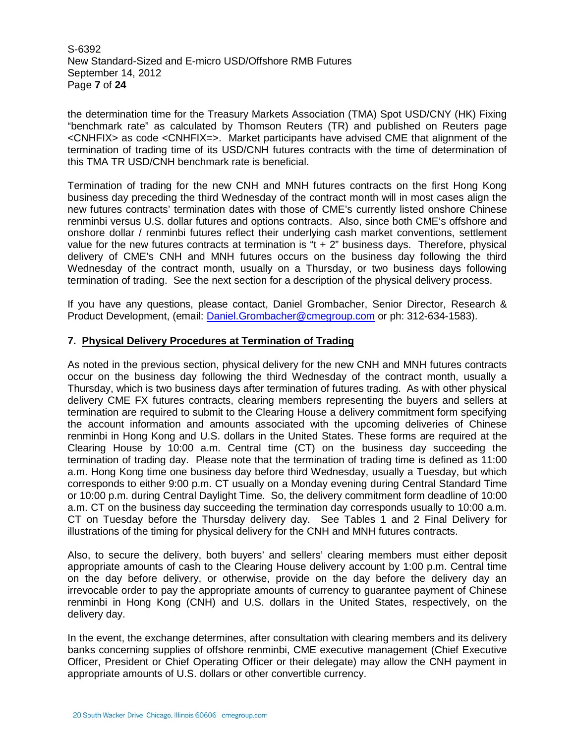S-6392 New Standard-Sized and E-micro USD/Offshore RMB Futures September 14, 2012 Page **7** of **24**

the determination time for the Treasury Markets Association (TMA) Spot USD/CNY (HK) Fixing "benchmark rate" as calculated by Thomson Reuters (TR) and published on Reuters page <CNHFIX> as code <CNHFIX=>. Market participants have advised CME that alignment of the termination of trading time of its USD/CNH futures contracts with the time of determination of this TMA TR USD/CNH benchmark rate is beneficial.

Termination of trading for the new CNH and MNH futures contracts on the first Hong Kong business day preceding the third Wednesday of the contract month will in most cases align the new futures contracts' termination dates with those of CME's currently listed onshore Chinese renminbi versus U.S. dollar futures and options contracts. Also, since both CME's offshore and onshore dollar / renminbi futures reflect their underlying cash market conventions, settlement value for the new futures contracts at termination is " $t + 2$ " business days. Therefore, physical delivery of CME's CNH and MNH futures occurs on the business day following the third Wednesday of the contract month, usually on a Thursday, or two business days following termination of trading. See the next section for a description of the physical delivery process.

If you have any questions, please contact, Daniel Grombacher, Senior Director, Research & Product Development, (email: [Daniel.Grombacher@cmegroup.com](mailto:Daniel.Grombacher@cmegroup.com) or ph: 312-634-1583).

## **7. Physical Delivery Procedures at Termination of Trading**

As noted in the previous section, physical delivery for the new CNH and MNH futures contracts occur on the business day following the third Wednesday of the contract month, usually a Thursday, which is two business days after termination of futures trading. As with other physical delivery CME FX futures contracts, clearing members representing the buyers and sellers at termination are required to submit to the Clearing House a delivery commitment form specifying the account information and amounts associated with the upcoming deliveries of Chinese renminbi in Hong Kong and U.S. dollars in the United States. These forms are required at the Clearing House by 10:00 a.m. Central time (CT) on the business day succeeding the termination of trading day. Please note that the termination of trading time is defined as 11:00 a.m. Hong Kong time one business day before third Wednesday, usually a Tuesday, but which corresponds to either 9:00 p.m. CT usually on a Monday evening during Central Standard Time or 10:00 p.m. during Central Daylight Time. So, the delivery commitment form deadline of 10:00 a.m. CT on the business day succeeding the termination day corresponds usually to 10:00 a.m. CT on Tuesday before the Thursday delivery day. See Tables 1 and 2 Final Delivery for illustrations of the timing for physical delivery for the CNH and MNH futures contracts.

Also, to secure the delivery, both buyers' and sellers' clearing members must either deposit appropriate amounts of cash to the Clearing House delivery account by 1:00 p.m. Central time on the day before delivery, or otherwise, provide on the day before the delivery day an irrevocable order to pay the appropriate amounts of currency to guarantee payment of Chinese renminbi in Hong Kong (CNH) and U.S. dollars in the United States, respectively, on the delivery day.

In the event, the exchange determines, after consultation with clearing members and its delivery banks concerning supplies of offshore renminbi, CME executive management (Chief Executive Officer, President or Chief Operating Officer or their delegate) may allow the CNH payment in appropriate amounts of U.S. dollars or other convertible currency.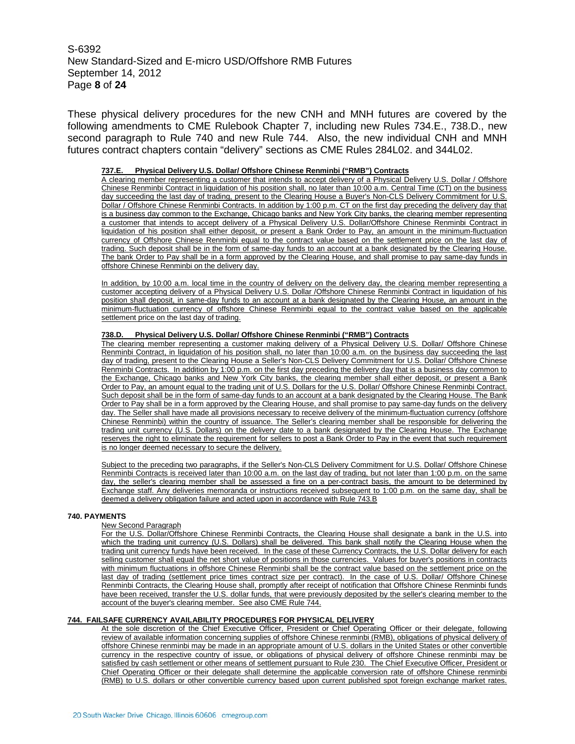S-6392 New Standard-Sized and E-micro USD/Offshore RMB Futures September 14, 2012 Page **8** of **24**

These physical delivery procedures for the new CNH and MNH futures are covered by the following amendments to CME Rulebook Chapter 7, including new Rules 734.E., 738.D., new second paragraph to Rule 740 and new Rule 744. Also, the new individual CNH and MNH futures contract chapters contain "delivery" sections as CME Rules 284L02. and 344L02.

#### **737.E. Physical Delivery U.S. Dollar/ Offshore Chinese Renminbi ("RMB") Contracts**

A clearing member representing a customer that intends to accept delivery of a Physical Delivery U.S. Dollar / Offshore Chinese Renminbi Contract in liquidation of his position shall, no later than 10:00 a.m. Central Time (CT) on the business day succeeding the last day of trading, present to the Clearing House a Buyer's Non-CLS Delivery Commitment for U.S. Dollar / Offshore Chinese Renminbi Contracts. In addition by 1:00 p.m. CT on the first day preceding the delivery day that is a business day common to the Exchange, Chicago banks and New York City banks, the clearing member representing a customer that intends to accept delivery of a Physical Delivery U.S. Dollar/Offshore Chinese Renminbi Contract in liquidation of his position shall either deposit, or present a Bank Order to Pay, an amount in the minimum-fluctuation currency of Offshore Chinese Renminbi equal to the contract value based on the settlement price on the last day of trading. Such deposit shall be in the form of same-day funds to an account at a bank designated by the Clearing House. The bank Order to Pay shall be in a form approved by the Clearing House, and shall promise to pay same-day funds in offshore Chinese Renminbi on the delivery day.

In addition, by 10:00 a.m. local time in the country of delivery on the delivery day, the clearing member representing a customer accepting delivery of a Physical Delivery U.S. Dollar /Offshore Chinese Renminbi Contract in liquidation of his position shall deposit, in same-day funds to an account at a bank designated by the Clearing House, an amount in the minimum-fluctuation currency of offshore Chinese Renminbi equal to the contract value based on the applicable settlement price on the last day of trading.

#### **738.D. Physical Delivery U.S. Dollar/ Offshore Chinese Renminbi ("RMB") Contracts**

The clearing member representing a customer making delivery of a Physical Delivery U.S. Dollar/ Offshore Chinese Renminbi Contract, in liquidation of his position shall, no later than 10:00 a.m. on the business day succeeding the last day of trading, present to the Clearing House a Seller's Non-CLS Delivery Commitment for U.S. Dollar/ Offshore Chinese Renminbi Contracts. In addition by 1:00 p.m. on the first day preceding the delivery day that is a business day common to the Exchange, Chicago banks and New York City banks, the clearing member shall either deposit, or present a Bank Order to Pay, an amount equal to the trading unit of U.S. Dollars for the U.S. Dollar/ Offshore Chinese Renminbi Contract. Such deposit shall be in the form of same-day funds to an account at a bank designated by the Clearing House. The Bank Order to Pay shall be in a form approved by the Clearing House, and shall promise to pay same-day funds on the delivery day. The Seller shall have made all provisions necessary to receive delivery of the minimum-fluctuation currency (offshore Chinese Renminbi) within the country of issuance. The Seller's clearing member shall be responsible for delivering the trading unit currency (U.S. Dollars) on the delivery date to a bank designated by the Clearing House. The Exchange reserves the right to eliminate the requirement for sellers to post a Bank Order to Pay in the event that such requirement is no longer deemed necessary to secure the delivery.

Subject to the preceding two paragraphs, if the Seller's Non-CLS Delivery Commitment for U.S. Dollar/ Offshore Chinese Renminbi Contracts is received later than 10:00 a.m. on the last day of trading, but not later than 1:00 p.m. on the same day, the seller's clearing member shall be assessed a fine on a per-contract basis, the amount to be determined by Exchange staff. Any deliveries memoranda or instructions received subsequent to 1:00 p.m. on the same day, shall be deemed a delivery obligation failure and acted upon in accordance with Rule 743.B

#### **740. PAYMENTS**

#### New Second Paragraph

For the U.S. Dollar/Offshore Chinese Renminbi Contracts, the Clearing House shall designate a bank in the U.S. into which the trading unit currency (U.S. Dollars) shall be delivered. This bank shall notify the Clearing House when the trading unit currency funds have been received. In the case of these Currency Contracts, the U.S. Dollar delivery for each selling customer shall equal the net short value of positions in those currencies. Values for buyer's positions in contracts with minimum fluctuations in offshore Chinese Renminbi shall be the contract value based on the settlement price on the last day of trading (settlement price times contract size per contract). In the case of U.S. Dollar/ Offshore Chinese Renminbi Contracts, the Clearing House shall, promptly after receipt of notification that Offshore Chinese Renminbi funds have been received, transfer the U.S. dollar funds, that were previously deposited by the seller's clearing member to the account of the buyer's clearing member. See also CME Rule 744.

#### **744. FAILSAFE CURRENCY AVAILABILITY PROCEDURES FOR PHYSICAL DELIVERY**

At the sole discretion of the Chief Executive Officer, President or Chief Operating Officer or their delegate, following review of available information concerning supplies of offshore Chinese renminbi (RMB), obligations of physical delivery of offshore Chinese renminbi may be made in an appropriate amount of U.S. dollars in the United States or other convertible currency in the respective country of issue, or obligations of physical delivery of offshore Chinese renminbi may be satisfied by cash settlement or other means of settlement pursuant to Rule 230. The Chief Executive Officer, President or Chief Operating Officer or their delegate shall determine the applicable conversion rate of offshore Chinese renminbi (RMB) to U.S. dollars or other convertible currency based upon current published spot foreign exchange market rates.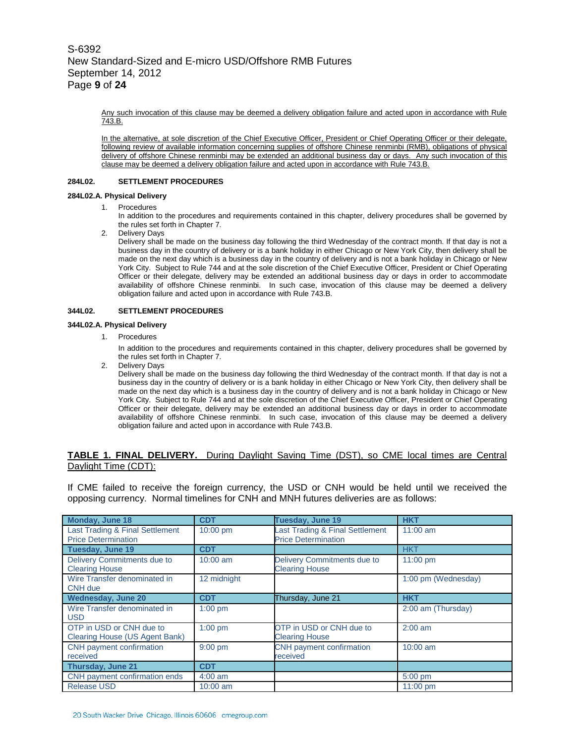Any such invocation of this clause may be deemed a delivery obligation failure and acted upon in accordance with Rule 743.B.

In the alternative, at sole discretion of the Chief Executive Officer, President or Chief Operating Officer or their delegate, following review of available information concerning supplies of offshore Chinese renminbi (RMB), obligations of physical delivery of offshore Chinese renminbi may be extended an additional business day or days. Any such invocation of this clause may be deemed a delivery obligation failure and acted upon in accordance with Rule 743.B.

#### **284L02. SETTLEMENT PROCEDURES**

#### **284L02.A. Physical Delivery**

1. Procedures

In addition to the procedures and requirements contained in this chapter, delivery procedures shall be governed by the rules set forth in Chapter 7.

2. Delivery Days

Delivery shall be made on the business day following the third Wednesday of the contract month. If that day is not a business day in the country of delivery or is a bank holiday in either Chicago or New York City, then delivery shall be made on the next day which is a business day in the country of delivery and is not a bank holiday in Chicago or New York City. Subject to Rule 744 and at the sole discretion of the Chief Executive Officer, President or Chief Operating Officer or their delegate, delivery may be extended an additional business day or days in order to accommodate availability of offshore Chinese renminbi. In such case, invocation of this clause may be deemed a delivery obligation failure and acted upon in accordance with Rule 743.B.

#### **344L02. SETTLEMENT PROCEDURES**

#### **344L02.A. Physical Delivery**

1. Procedures

In addition to the procedures and requirements contained in this chapter, delivery procedures shall be governed by the rules set forth in Chapter 7.

2. Delivery Days

Delivery shall be made on the business day following the third Wednesday of the contract month. If that day is not a business day in the country of delivery or is a bank holiday in either Chicago or New York City, then delivery shall be made on the next day which is a business day in the country of delivery and is not a bank holiday in Chicago or New York City. Subject to Rule 744 and at the sole discretion of the Chief Executive Officer, President or Chief Operating Officer or their delegate, delivery may be extended an additional business day or days in order to accommodate availability of offshore Chinese renminbi. In such case, invocation of this clause may be deemed a delivery obligation failure and acted upon in accordance with Rule 743.B.

#### **TABLE 1. FINAL DELIVERY.** During Daylight Saving Time (DST), so CME local times are Central Daylight Time (CDT):

If CME failed to receive the foreign currency, the USD or CNH would be held until we received the opposing currency. Normal timelines for CNH and MNH futures deliveries are as follows:

| <b>Monday, June 18</b>                                        | <b>CDT</b>        | <b>Tuesday, June 19</b>                                       | <b>HKT</b>          |
|---------------------------------------------------------------|-------------------|---------------------------------------------------------------|---------------------|
| Last Trading & Final Settlement<br><b>Price Determination</b> | 10:00 pm          | Last Trading & Final Settlement<br><b>Price Determination</b> | $11:00$ am          |
| <b>Tuesday, June 19</b>                                       | <b>CDT</b>        |                                                               | <b>HKT</b>          |
| Delivery Commitments due to<br><b>Clearing House</b>          | $10:00$ am        | Delivery Commitments due to<br><b>Clearing House</b>          | $11:00 \text{ pm}$  |
| Wire Transfer denominated in<br>CNH due                       | 12 midnight       |                                                               | 1:00 pm (Wednesday) |
| <b>Wednesday, June 20</b>                                     | <b>CDT</b>        | Thursday, June 21                                             | <b>HKT</b>          |
| Wire Transfer denominated in<br><b>USD</b>                    | $1:00$ pm         |                                                               | 2:00 am (Thursday)  |
| OTP in USD or CNH due to<br>Clearing House (US Agent Bank)    | $1:00$ pm         | OTP in USD or CNH due to<br><b>Clearing House</b>             | $2:00$ am           |
| CNH payment confirmation<br>received                          | $9:00 \text{ pm}$ | CNH payment confirmation<br>received                          | $10:00$ am          |
| <b>Thursday, June 21</b>                                      | <b>CDT</b>        |                                                               |                     |
| CNH payment confirmation ends                                 | $4:00$ am         |                                                               | 5:00 pm             |
| <b>Release USD</b>                                            | $10:00$ am        |                                                               | $11:00$ pm          |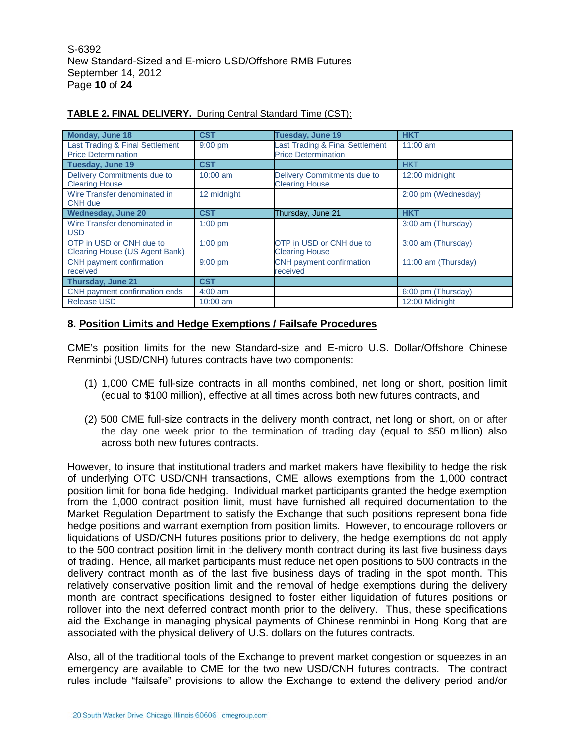S-6392 New Standard-Sized and E-micro USD/Offshore RMB Futures September 14, 2012 Page **10** of **24**

| Monday, June 18                                               | <b>CST</b>  | Tuesday, June 19                                              | <b>HKT</b>          |
|---------------------------------------------------------------|-------------|---------------------------------------------------------------|---------------------|
| Last Trading & Final Settlement<br><b>Price Determination</b> | $9:00$ pm   | Last Trading & Final Settlement<br><b>Price Determination</b> | $11:00$ am          |
| Tuesday, June 19                                              | <b>CST</b>  |                                                               | <b>HKT</b>          |
| Delivery Commitments due to<br><b>Clearing House</b>          | $10:00$ am  | Delivery Commitments due to<br><b>Clearing House</b>          | 12:00 midnight      |
| Wire Transfer denominated in<br>CNH due                       | 12 midnight |                                                               | 2:00 pm (Wednesday) |
| <b>Wednesday, June 20</b>                                     | <b>CST</b>  | Thursday, June 21                                             | <b>HKT</b>          |
| Wire Transfer denominated in<br><b>USD</b>                    | $1:00$ pm   |                                                               | 3:00 am (Thursday)  |
| OTP in USD or CNH due to<br>Clearing House (US Agent Bank)    | $1:00$ pm   | OTP in USD or CNH due to<br><b>Clearing House</b>             | 3:00 am (Thursday)  |
| CNH payment confirmation<br>received                          | 9:00 pm     | CNH payment confirmation<br>received                          | 11:00 am (Thursday) |
| <b>Thursday, June 21</b>                                      | <b>CST</b>  |                                                               |                     |
| CNH payment confirmation ends                                 | $4:00$ am   |                                                               | 6:00 pm (Thursday)  |
| <b>Release USD</b>                                            | $10:00$ am  |                                                               | 12:00 Midnight      |

## **TABLE 2. FINAL DELIVERY.** During Central Standard Time (CST):

## **8. Position Limits and Hedge Exemptions / Failsafe Procedures**

CME's position limits for the new Standard-size and E-micro U.S. Dollar/Offshore Chinese Renminbi (USD/CNH) futures contracts have two components:

- (1) 1,000 CME full-size contracts in all months combined, net long or short, position limit (equal to \$100 million), effective at all times across both new futures contracts, and
- (2) 500 CME full-size contracts in the delivery month contract, net long or short, on or after the day one week prior to the termination of trading day (equal to \$50 million) also across both new futures contracts.

However, to insure that institutional traders and market makers have flexibility to hedge the risk of underlying OTC USD/CNH transactions, CME allows exemptions from the 1,000 contract position limit for bona fide hedging. Individual market participants granted the hedge exemption from the 1,000 contract position limit, must have furnished all required documentation to the Market Regulation Department to satisfy the Exchange that such positions represent bona fide hedge positions and warrant exemption from position limits. However, to encourage rollovers or liquidations of USD/CNH futures positions prior to delivery, the hedge exemptions do not apply to the 500 contract position limit in the delivery month contract during its last five business days of trading. Hence, all market participants must reduce net open positions to 500 contracts in the delivery contract month as of the last five business days of trading in the spot month. This relatively conservative position limit and the removal of hedge exemptions during the delivery month are contract specifications designed to foster either liquidation of futures positions or rollover into the next deferred contract month prior to the delivery. Thus, these specifications aid the Exchange in managing physical payments of Chinese renminbi in Hong Kong that are associated with the physical delivery of U.S. dollars on the futures contracts.

Also, all of the traditional tools of the Exchange to prevent market congestion or squeezes in an emergency are available to CME for the two new USD/CNH futures contracts. The contract rules include "failsafe" provisions to allow the Exchange to extend the delivery period and/or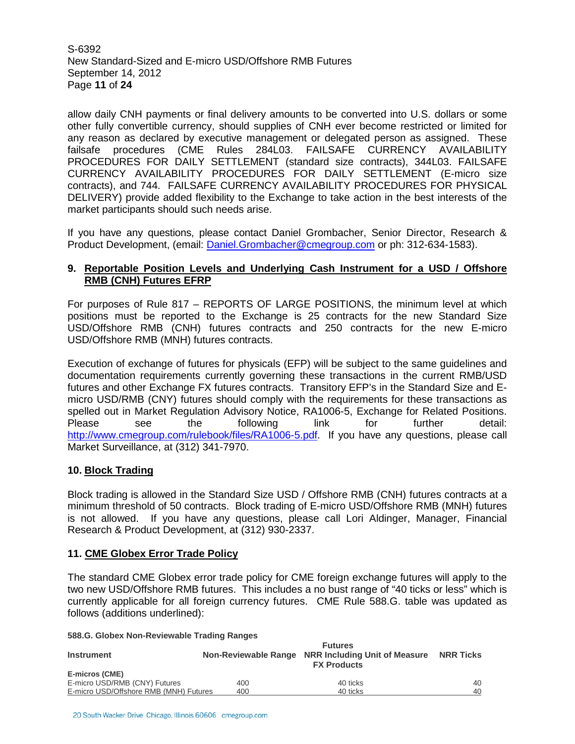S-6392 New Standard-Sized and E-micro USD/Offshore RMB Futures September 14, 2012 Page **11** of **24**

allow daily CNH payments or final delivery amounts to be converted into U.S. dollars or some other fully convertible currency, should supplies of CNH ever become restricted or limited for any reason as declared by executive management or delegated person as assigned. These failsafe procedures (CME Rules 284L03. FAILSAFE CURRENCY AVAILABILITY PROCEDURES FOR DAILY SETTLEMENT (standard size contracts), 344L03. FAILSAFE CURRENCY AVAILABILITY PROCEDURES FOR DAILY SETTLEMENT (E-micro size contracts), and 744. FAILSAFE CURRENCY AVAILABILITY PROCEDURES FOR PHYSICAL DELIVERY) provide added flexibility to the Exchange to take action in the best interests of the market participants should such needs arise.

If you have any questions, please contact Daniel Grombacher, Senior Director, Research & Product Development, (email: [Daniel.Grombacher@cmegroup.com](mailto:Daniel.Grombacher@cmegroup.com) or ph: 312-634-1583).

## **9. Reportable Position Levels and Underlying Cash Instrument for a USD / Offshore RMB (CNH) Futures EFRP**

For purposes of Rule 817 – REPORTS OF LARGE POSITIONS, the minimum level at which positions must be reported to the Exchange is 25 contracts for the new Standard Size USD/Offshore RMB (CNH) futures contracts and 250 contracts for the new E-micro USD/Offshore RMB (MNH) futures contracts.

Execution of exchange of futures for physicals (EFP) will be subject to the same guidelines and documentation requirements currently governing these transactions in the current RMB/USD futures and other Exchange FX futures contracts. Transitory EFP's in the Standard Size and Emicro USD/RMB (CNY) futures should comply with the requirements for these transactions as spelled out in Market Regulation Advisory Notice, RA1006-5, Exchange for Related Positions. Please see the following link for further detail: [http://www.cmegroup.com/rulebook/files/RA1006-5.pdf.](http://www.cmegroup.com/rulebook/files/RA1006-5.pdf) If you have any questions, please call Market Surveillance, at (312) 341-7970.

## **10. Block Trading**

Block trading is allowed in the Standard Size USD / Offshore RMB (CNH) futures contracts at a minimum threshold of 50 contracts. Block trading of E-micro USD/Offshore RMB (MNH) futures is not allowed. If you have any questions, please call Lori Aldinger, Manager, Financial Research & Product Development, at (312) 930-2337.

## **11. CME Globex Error Trade Policy**

**588.G. Globex Non-Reviewable Trading Ranges**

The standard CME Globex error trade policy for CME foreign exchange futures will apply to the two new USD/Offshore RMB futures. This includes a no bust range of "40 ticks or less" which is currently applicable for all foreign currency futures. CME Rule 588.G. table was updated as follows (additions underlined):

| 300.0. OIODEX NON-REVIEWADIE Trading Ranges |     |                                                                                                      |    |  |
|---------------------------------------------|-----|------------------------------------------------------------------------------------------------------|----|--|
| <b>Instrument</b>                           |     | <b>Futures</b><br>Non-Reviewable Range NRR Including Unit of Measure NRR Ticks<br><b>FX Products</b> |    |  |
| E-micros (CME)                              |     |                                                                                                      |    |  |
| E-micro USD/RMB (CNY) Futures               | 400 | 40 ticks                                                                                             | 40 |  |
| E-micro USD/Offshore RMB (MNH) Futures      | 400 | 40 ticks                                                                                             | 40 |  |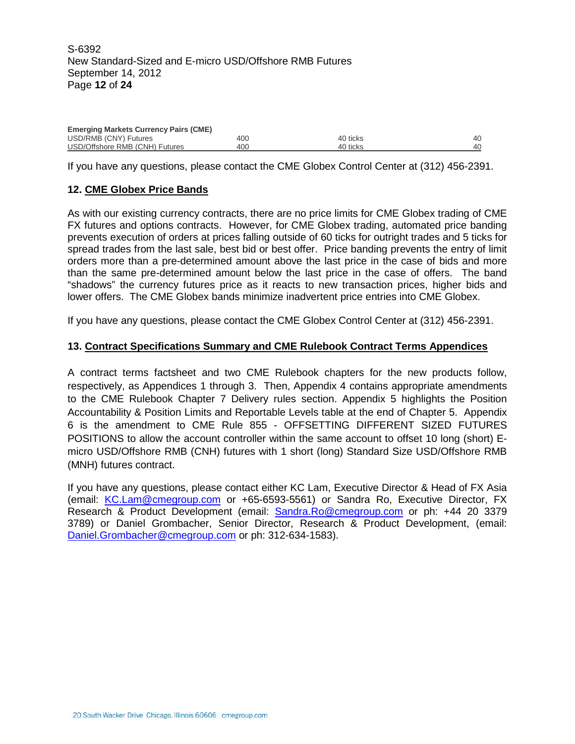| <b>Emerging Markets Currency Pairs (CME)</b> |     |          |    |  |  |  |
|----------------------------------------------|-----|----------|----|--|--|--|
| USD/RMB (CNY) Futures                        | 400 | 40 ticks | 40 |  |  |  |
| USD/Offshore RMB (CNH) Futures               | 400 | 40 ticks | 40 |  |  |  |

If you have any questions, please contact the CME Globex Control Center at (312) 456-2391.

## **12. CME Globex Price Bands**

As with our existing currency contracts, there are no price limits for CME Globex trading of CME FX futures and options contracts. However, for CME Globex trading, automated price banding prevents execution of orders at prices falling outside of 60 ticks for outright trades and 5 ticks for spread trades from the last sale, best bid or best offer. Price banding prevents the entry of limit orders more than a pre-determined amount above the last price in the case of bids and more than the same pre-determined amount below the last price in the case of offers. The band "shadows" the currency futures price as it reacts to new transaction prices, higher bids and lower offers. The CME Globex bands minimize inadvertent price entries into CME Globex.

If you have any questions, please contact the CME Globex Control Center at (312) 456-2391.

### **13. Contract Specifications Summary and CME Rulebook Contract Terms Appendices**

A contract terms factsheet and two CME Rulebook chapters for the new products follow, respectively, as Appendices 1 through 3. Then, Appendix 4 contains appropriate amendments to the CME Rulebook Chapter 7 Delivery rules section. Appendix 5 highlights the Position Accountability & Position Limits and Reportable Levels table at the end of Chapter 5. Appendix 6 is the amendment to CME Rule 855 - OFFSETTING DIFFERENT SIZED FUTURES POSITIONS to allow the account controller within the same account to offset 10 long (short) Emicro USD/Offshore RMB (CNH) futures with 1 short (long) Standard Size USD/Offshore RMB (MNH) futures contract.

If you have any questions, please contact either KC Lam, Executive Director & Head of FX Asia (email: [KC.Lam@cmegroup.com](mailto:KC.Lam@cmegroup.com) or +65-6593-5561) or Sandra Ro, Executive Director, FX Research & Product Development (email: [Sandra.Ro@cmegroup.com](mailto:Sandra.Ro@cmegroup.com) or ph: +44 20 3379 3789) or Daniel Grombacher, Senior Director, Research & Product Development, (email: [Daniel.Grombacher@cmegroup.com](mailto:Daniel.Grombacher@cmegroup.com) or ph: 312-634-1583).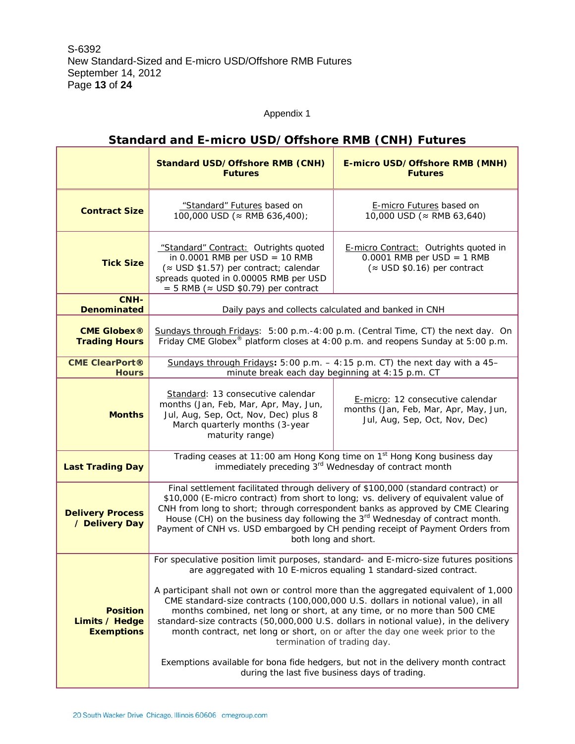## Appendix 1

|                                                        | <b>Standard USD/Offshore RMB (CNH)</b><br><b>Futures</b>                                                                                                                                                                                                                                                                                                                                                                                                                                                                                                                                                                                                                                                                                                           | E-micro USD/Offshore RMB (MNH)<br><b>Futures</b>                                                                                                                                |  |  |  |
|--------------------------------------------------------|--------------------------------------------------------------------------------------------------------------------------------------------------------------------------------------------------------------------------------------------------------------------------------------------------------------------------------------------------------------------------------------------------------------------------------------------------------------------------------------------------------------------------------------------------------------------------------------------------------------------------------------------------------------------------------------------------------------------------------------------------------------------|---------------------------------------------------------------------------------------------------------------------------------------------------------------------------------|--|--|--|
| <b>Contract Size</b>                                   | "Standard" Futures based on<br>100,000 USD (≈ RMB 636,400);                                                                                                                                                                                                                                                                                                                                                                                                                                                                                                                                                                                                                                                                                                        | E-micro Futures based on<br>10,000 USD (≈ RMB 63,640)                                                                                                                           |  |  |  |
| <b>Tick Size</b>                                       | "Standard" Contract: Outrights quoted<br>in $0.0001$ RMB per USD = 10 RMB<br>(≈ USD \$1.57) per contract; calendar<br>spreads quoted in 0.00005 RMB per USD<br>$=$ 5 RMB ( $\approx$ USD \$0.79) per contract                                                                                                                                                                                                                                                                                                                                                                                                                                                                                                                                                      | <b>E-micro Contract:</b> Outrights quoted in<br>$0.0001$ RMB per USD = 1 RMB<br>$(\approx$ USD \$0.16) per contract                                                             |  |  |  |
| CNH-<br><b>Denominated</b>                             |                                                                                                                                                                                                                                                                                                                                                                                                                                                                                                                                                                                                                                                                                                                                                                    | Daily pays and collects calculated and banked in CNH                                                                                                                            |  |  |  |
| <b>CME Globex®</b><br><b>Trading Hours</b>             |                                                                                                                                                                                                                                                                                                                                                                                                                                                                                                                                                                                                                                                                                                                                                                    | Sundays through Fridays: 5:00 p.m.-4:00 p.m. (Central Time, CT) the next day. On<br>Friday CME Globex <sup>®</sup> platform closes at 4:00 p.m. and reopens Sunday at 5:00 p.m. |  |  |  |
| <b>CME ClearPort®</b><br><b>Hours</b>                  |                                                                                                                                                                                                                                                                                                                                                                                                                                                                                                                                                                                                                                                                                                                                                                    | Sundays through Fridays: $5:00$ p.m. $-4:15$ p.m. CT) the next day with a 45-<br>minute break each day beginning at 4:15 p.m. CT                                                |  |  |  |
| <b>Months</b>                                          | Standard: 13 consecutive calendar<br>months (Jan, Feb, Mar, Apr, May, Jun,<br>Jul, Aug, Sep, Oct, Nov, Dec) plus 8<br>March quarterly months (3-year<br>maturity range)                                                                                                                                                                                                                                                                                                                                                                                                                                                                                                                                                                                            | E-micro: 12 consecutive calendar<br>months (Jan, Feb, Mar, Apr, May, Jun,<br>Jul, Aug, Sep, Oct, Nov, Dec)                                                                      |  |  |  |
| <b>Last Trading Day</b>                                | Trading ceases at 11:00 am Hong Kong time on 1 <sup>st</sup> Hong Kong business day<br>immediately preceding 3 <sup>rd</sup> Wednesday of contract month                                                                                                                                                                                                                                                                                                                                                                                                                                                                                                                                                                                                           |                                                                                                                                                                                 |  |  |  |
| <b>Delivery Process</b><br>/ Delivery Day              | Final settlement facilitated through delivery of \$100,000 (standard contract) or<br>\$10,000 (E-micro contract) from short to long; vs. delivery of equivalent value of<br>CNH from long to short; through correspondent banks as approved by CME Clearing<br>House (CH) on the business day following the 3 <sup>rd</sup> Wednesday of contract month.<br>Payment of CNH vs. USD embargoed by CH pending receipt of Payment Orders from<br>both long and short.                                                                                                                                                                                                                                                                                                  |                                                                                                                                                                                 |  |  |  |
| <b>Position</b><br>Limits / Hedge<br><b>Exemptions</b> | For speculative position limit purposes, standard- and E-micro-size futures positions<br>are aggregated with 10 E-micros equaling 1 standard-sized contract.<br>A participant shall not own or control more than the aggregated equivalent of 1,000<br>CME standard-size contracts (100,000,000 U.S. dollars in notional value), in all<br>months combined, net long or short, at any time, or no more than 500 CME<br>standard-size contracts (50,000,000 U.S. dollars in notional value), in the delivery<br>month contract, net long or short, on or after the day one week prior to the<br>termination of trading day.<br>Exemptions available for bona fide hedgers, but not in the delivery month contract<br>during the last five business days of trading. |                                                                                                                                                                                 |  |  |  |

## **Standard and E-micro USD/Offshore RMB (CNH) Futures**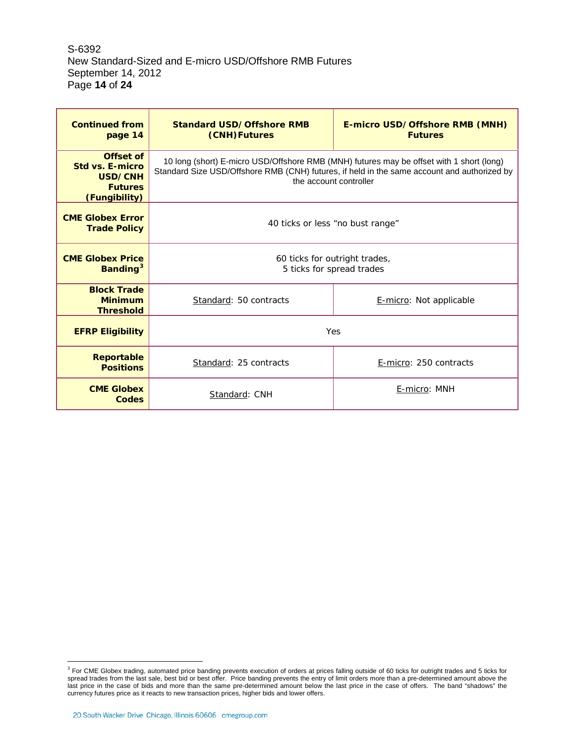S-6392 New Standard-Sized and E-micro USD/Offshore RMB Futures September 14, 2012 Page **14** of **24**

| <b>Continued from</b><br>page 14                                                  | <b>Standard USD/Offshore RMB</b><br>(CNH)Futures                                                                                                                                                                  | <b>E-micro USD/Offshore RMB (MNH)</b><br><b>Futures</b> |  |  |  |
|-----------------------------------------------------------------------------------|-------------------------------------------------------------------------------------------------------------------------------------------------------------------------------------------------------------------|---------------------------------------------------------|--|--|--|
| Offset of<br><b>Std vs. E-micro</b><br>USD/CNH<br><b>Futures</b><br>(Fungibility) | 10 long (short) E-micro USD/Offshore RMB (MNH) futures may be offset with 1 short (long)<br>Standard Size USD/Offshore RMB (CNH) futures, if held in the same account and authorized by<br>the account controller |                                                         |  |  |  |
| <b>CME Globex Error</b><br><b>Trade Policy</b>                                    |                                                                                                                                                                                                                   | 40 ticks or less "no bust range"                        |  |  |  |
| <b>CME Globex Price</b><br>Banding <sup>3</sup>                                   | 60 ticks for outright trades,<br>5 ticks for spread trades                                                                                                                                                        |                                                         |  |  |  |
| <b>Block Trade</b><br><b>Minimum</b><br><b>Threshold</b>                          | Standard: 50 contracts                                                                                                                                                                                            | E-micro: Not applicable                                 |  |  |  |
| <b>EFRP Eligibility</b>                                                           |                                                                                                                                                                                                                   | Yes                                                     |  |  |  |
| <b>Reportable</b><br><b>Positions</b>                                             | Standard: 25 contracts                                                                                                                                                                                            | E-micro: 250 contracts                                  |  |  |  |
| <b>CME Globex</b><br>Codes                                                        | Standard: CNH                                                                                                                                                                                                     | E-micro: MNH                                            |  |  |  |

<span id="page-13-0"></span> $^3$  For CME Globex trading, automated price banding prevents execution of orders at prices falling outside of 60 ticks for outright trades and 5 ticks for spread trades from the last sale, best bid or best offer. Price banding prevents the entry of limit orders more than a pre-determined amount above the last price in the case of bids and more than the same pre-determined amount below the last price in the case of offers. The band "shadows" the currency futures price as it reacts to new transaction prices, higher bids and lower offers.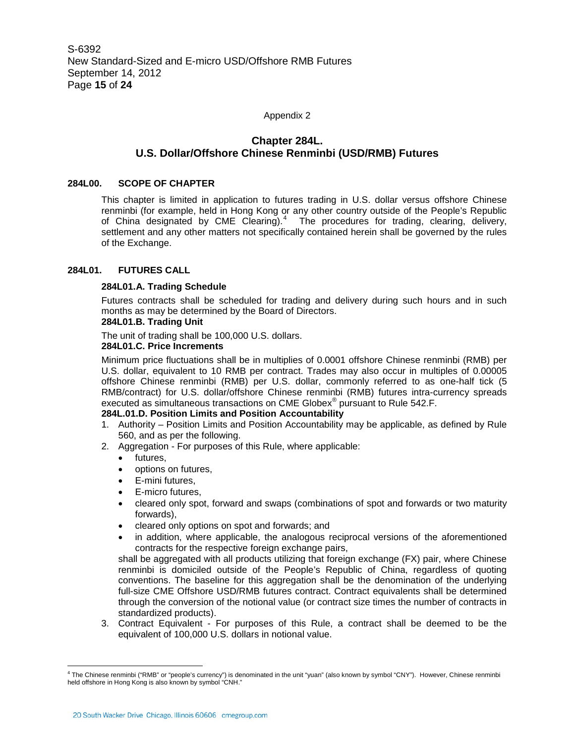Appendix 2

## **Chapter 284L. U.S. Dollar/Offshore Chinese Renminbi (USD/RMB) Futures**

#### **284L00. SCOPE OF CHAPTER**

This chapter is limited in application to futures trading in U.S. dollar versus offshore Chinese renminbi (for example, held in Hong Kong or any other country outside of the People's Republic of China designated by CME Clearing).<sup>[4](#page-13-0)</sup> The procedures for trading, clearing, delivery, settlement and any other matters not specifically contained herein shall be governed by the rules of the Exchange.

#### **284L01. FUTURES CALL**

#### **284L01.A. Trading Schedule**

Futures contracts shall be scheduled for trading and delivery during such hours and in such months as may be determined by the Board of Directors.

## **284L01.B. Trading Unit**

The unit of trading shall be 100,000 U.S. dollars.

#### **284L01.C. Price Increments**

Minimum price fluctuations shall be in multiplies of 0.0001 offshore Chinese renminbi (RMB) per U.S. dollar, equivalent to 10 RMB per contract. Trades may also occur in multiples of 0.00005 offshore Chinese renminbi (RMB) per U.S. dollar, commonly referred to as one-half tick (5 RMB/contract) for U.S. dollar/offshore Chinese renminbi (RMB) futures intra-currency spreads executed as simultaneous transactions on CME Globex<sup>®</sup> pursuant to Rule 542.F.

### **284L.01.D. Position Limits and Position Accountability**

- 1. Authority Position Limits and Position Accountability may be applicable, as defined by Rule 560, and as per the following.
- 2. Aggregation For purposes of this Rule, where applicable:
	- futures,
	- options on futures,
	- E-mini futures,
	- E-micro futures,
	- cleared only spot, forward and swaps (combinations of spot and forwards or two maturity forwards),
	- cleared only options on spot and forwards; and
	- in addition, where applicable, the analogous reciprocal versions of the aforementioned contracts for the respective foreign exchange pairs,

shall be aggregated with all products utilizing that foreign exchange (FX) pair, where Chinese renminbi is domiciled outside of the People's Republic of China, regardless of quoting conventions. The baseline for this aggregation shall be the denomination of the underlying full-size CME Offshore USD/RMB futures contract. Contract equivalents shall be determined through the conversion of the notional value (or contract size times the number of contracts in standardized products).

3. Contract Equivalent - For purposes of this Rule, a contract shall be deemed to be the equivalent of 100,000 U.S. dollars in notional value.

<span id="page-14-0"></span><sup>&</sup>lt;sup>4</sup> The Chinese renminbi ("RMB" or "people's currency") is denominated in the unit "yuan" (also known by symbol "CNY"). However, Chinese renminbi held offshore in Hong Kong is also known by symbol "CNH."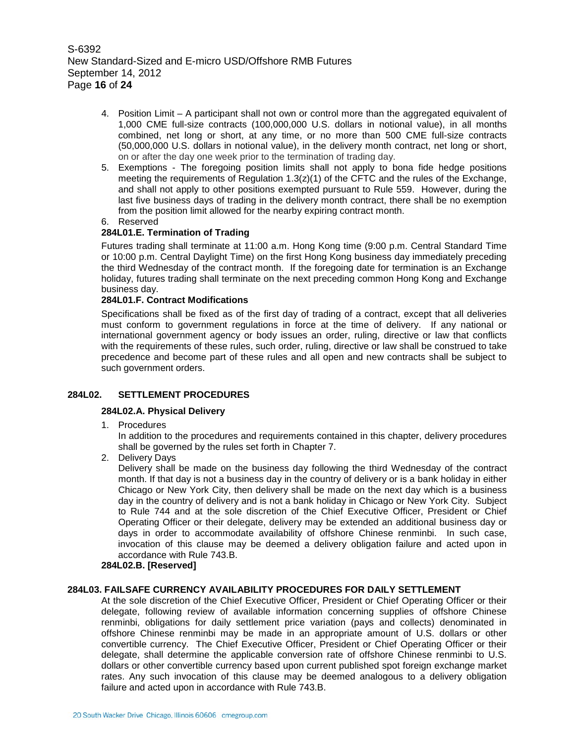S-6392 New Standard-Sized and E-micro USD/Offshore RMB Futures September 14, 2012 Page **16** of **24**

- 4. Position Limit A participant shall not own or control more than the aggregated equivalent of 1,000 CME full-size contracts (100,000,000 U.S. dollars in notional value), in all months combined, net long or short, at any time, or no more than 500 CME full-size contracts (50,000,000 U.S. dollars in notional value), in the delivery month contract, net long or short, on or after the day one week prior to the termination of trading day.
- 5. Exemptions The foregoing position limits shall not apply to bona fide hedge positions meeting the requirements of Regulation  $1.3(z)(1)$  of the CFTC and the rules of the Exchange, and shall not apply to other positions exempted pursuant to Rule 559. However, during the last five business days of trading in the delivery month contract, there shall be no exemption from the position limit allowed for the nearby expiring contract month.
- 6. Reserved

## **284L01.E. Termination of Trading**

Futures trading shall terminate at 11:00 a.m. Hong Kong time (9:00 p.m. Central Standard Time or 10:00 p.m. Central Daylight Time) on the first Hong Kong business day immediately preceding the third Wednesday of the contract month. If the foregoing date for termination is an Exchange holiday, futures trading shall terminate on the next preceding common Hong Kong and Exchange business day.

## **284L01.F. Contract Modifications**

Specifications shall be fixed as of the first day of trading of a contract, except that all deliveries must conform to government regulations in force at the time of delivery. If any national or international government agency or body issues an order, ruling, directive or law that conflicts with the requirements of these rules, such order, ruling, directive or law shall be construed to take precedence and become part of these rules and all open and new contracts shall be subject to such government orders.

## **284L02. SETTLEMENT PROCEDURES**

#### **284L02.A. Physical Delivery**

1. Procedures

In addition to the procedures and requirements contained in this chapter, delivery procedures shall be governed by the rules set forth in Chapter 7.

2. Delivery Days

Delivery shall be made on the business day following the third Wednesday of the contract month. If that day is not a business day in the country of delivery or is a bank holiday in either Chicago or New York City, then delivery shall be made on the next day which is a business day in the country of delivery and is not a bank holiday in Chicago or New York City. Subject to Rule 744 and at the sole discretion of the Chief Executive Officer, President or Chief Operating Officer or their delegate, delivery may be extended an additional business day or days in order to accommodate availability of offshore Chinese renminbi. In such case, invocation of this clause may be deemed a delivery obligation failure and acted upon in accordance with Rule 743.B.

#### **284L02.B. [Reserved]**

## **284L03. FAILSAFE CURRENCY AVAILABILITY PROCEDURES FOR DAILY SETTLEMENT**

At the sole discretion of the Chief Executive Officer, President or Chief Operating Officer or their delegate, following review of available information concerning supplies of offshore Chinese renminbi, obligations for daily settlement price variation (pays and collects) denominated in offshore Chinese renminbi may be made in an appropriate amount of U.S. dollars or other convertible currency. The Chief Executive Officer, President or Chief Operating Officer or their delegate, shall determine the applicable conversion rate of offshore Chinese renminbi to U.S. dollars or other convertible currency based upon current published spot foreign exchange market rates. Any such invocation of this clause may be deemed analogous to a delivery obligation failure and acted upon in accordance with Rule 743.B.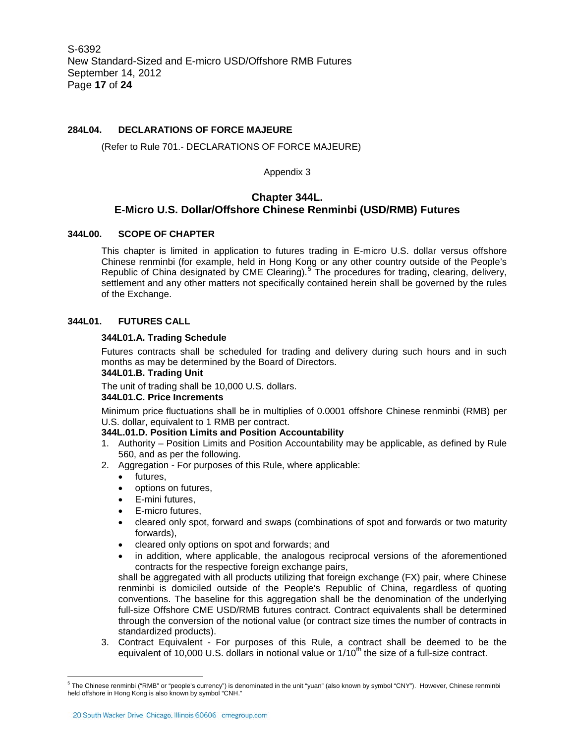### **284L04. DECLARATIONS OF FORCE MAJEURE**

#### (Refer to Rule 701.- DECLARATIONS OF FORCE MAJEURE)

Appendix 3

## **Chapter 344L. E-Micro U.S. Dollar/Offshore Chinese Renminbi (USD/RMB) Futures**

#### **344L00. SCOPE OF CHAPTER**

This chapter is limited in application to futures trading in E-micro U.S. dollar versus offshore Chinese renminbi (for example, held in Hong Kong or any other country outside of the People's Republic of China designated by CME Clearing).<sup>[5](#page-14-0)</sup> The procedures for trading, clearing, delivery, settlement and any other matters not specifically contained herein shall be governed by the rules of the Exchange.

#### **344L01. FUTURES CALL**

#### **344L01.A. Trading Schedule**

Futures contracts shall be scheduled for trading and delivery during such hours and in such months as may be determined by the Board of Directors.

#### **344L01.B. Trading Unit**

The unit of trading shall be 10,000 U.S. dollars.

## **344L01.C. Price Increments**

Minimum price fluctuations shall be in multiplies of 0.0001 offshore Chinese renminbi (RMB) per U.S. dollar, equivalent to 1 RMB per contract.

#### **344L.01.D. Position Limits and Position Accountability**

- 1. Authority Position Limits and Position Accountability may be applicable, as defined by Rule 560, and as per the following.
- 2. Aggregation For purposes of this Rule, where applicable:
	- futures,
	- options on futures,
	- E-mini futures,
	- E-micro futures,
	- cleared only spot, forward and swaps (combinations of spot and forwards or two maturity forwards),
	- cleared only options on spot and forwards; and
	- in addition, where applicable, the analogous reciprocal versions of the aforementioned contracts for the respective foreign exchange pairs,

shall be aggregated with all products utilizing that foreign exchange (FX) pair, where Chinese renminbi is domiciled outside of the People's Republic of China, regardless of quoting conventions. The baseline for this aggregation shall be the denomination of the underlying full-size Offshore CME USD/RMB futures contract. Contract equivalents shall be determined through the conversion of the notional value (or contract size times the number of contracts in standardized products).

3. Contract Equivalent - For purposes of this Rule, a contract shall be deemed to be the equivalent of 10,000 U.S. dollars in notional value or  $1/10<sup>th</sup>$  the size of a full-size contract.

<sup>&</sup>lt;sup>5</sup> The Chinese renminbi ("RMB" or "people's currency") is denominated in the unit "yuan" (also known by symbol "CNY"). However, Chinese renminbi held offshore in Hong Kong is also known by symbol "CNH."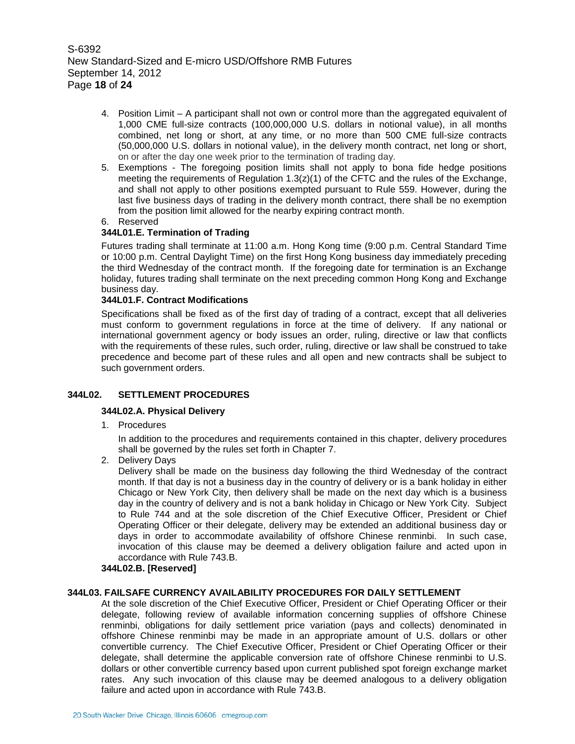S-6392 New Standard-Sized and E-micro USD/Offshore RMB Futures September 14, 2012 Page **18** of **24**

- 4. Position Limit A participant shall not own or control more than the aggregated equivalent of 1,000 CME full-size contracts (100,000,000 U.S. dollars in notional value), in all months combined, net long or short, at any time, or no more than 500 CME full-size contracts (50,000,000 U.S. dollars in notional value), in the delivery month contract, net long or short, on or after the day one week prior to the termination of trading day.
- 5. Exemptions The foregoing position limits shall not apply to bona fide hedge positions meeting the requirements of Regulation  $1.3(z)(1)$  of the CFTC and the rules of the Exchange, and shall not apply to other positions exempted pursuant to Rule 559. However, during the last five business days of trading in the delivery month contract, there shall be no exemption from the position limit allowed for the nearby expiring contract month.
- 6. Reserved

## **344L01.E. Termination of Trading**

Futures trading shall terminate at 11:00 a.m. Hong Kong time (9:00 p.m. Central Standard Time or 10:00 p.m. Central Daylight Time) on the first Hong Kong business day immediately preceding the third Wednesday of the contract month. If the foregoing date for termination is an Exchange holiday, futures trading shall terminate on the next preceding common Hong Kong and Exchange business day.

## **344L01.F. Contract Modifications**

Specifications shall be fixed as of the first day of trading of a contract, except that all deliveries must conform to government regulations in force at the time of delivery. If any national or international government agency or body issues an order, ruling, directive or law that conflicts with the requirements of these rules, such order, ruling, directive or law shall be construed to take precedence and become part of these rules and all open and new contracts shall be subject to such government orders.

## **344L02. SETTLEMENT PROCEDURES**

#### **344L02.A. Physical Delivery**

1. Procedures

In addition to the procedures and requirements contained in this chapter, delivery procedures shall be governed by the rules set forth in Chapter 7.

2. Delivery Days

Delivery shall be made on the business day following the third Wednesday of the contract month. If that day is not a business day in the country of delivery or is a bank holiday in either Chicago or New York City, then delivery shall be made on the next day which is a business day in the country of delivery and is not a bank holiday in Chicago or New York City. Subject to Rule 744 and at the sole discretion of the Chief Executive Officer, President or Chief Operating Officer or their delegate, delivery may be extended an additional business day or days in order to accommodate availability of offshore Chinese renminbi. In such case, invocation of this clause may be deemed a delivery obligation failure and acted upon in accordance with Rule 743.B.

#### **344L02.B. [Reserved]**

#### **344L03. FAILSAFE CURRENCY AVAILABILITY PROCEDURES FOR DAILY SETTLEMENT**

At the sole discretion of the Chief Executive Officer, President or Chief Operating Officer or their delegate, following review of available information concerning supplies of offshore Chinese renminbi, obligations for daily settlement price variation (pays and collects) denominated in offshore Chinese renminbi may be made in an appropriate amount of U.S. dollars or other convertible currency. The Chief Executive Officer, President or Chief Operating Officer or their delegate, shall determine the applicable conversion rate of offshore Chinese renminbi to U.S. dollars or other convertible currency based upon current published spot foreign exchange market rates. Any such invocation of this clause may be deemed analogous to a delivery obligation failure and acted upon in accordance with Rule 743.B.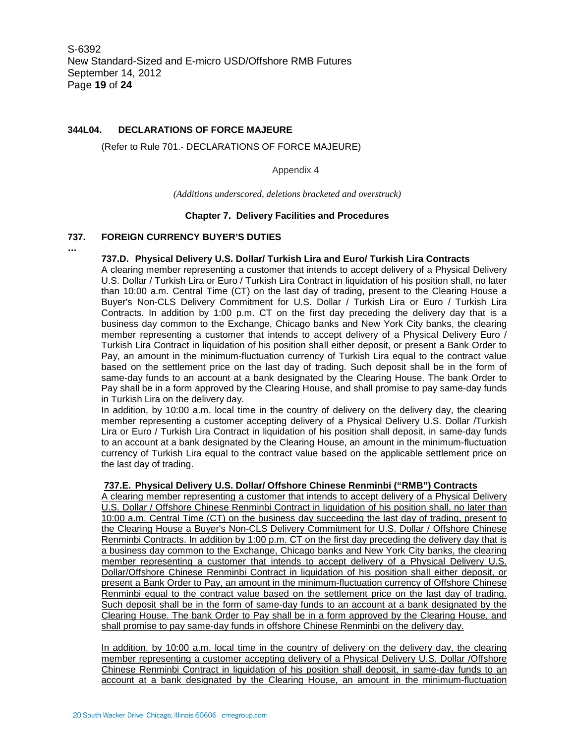### **344L04. DECLARATIONS OF FORCE MAJEURE**

(Refer to Rule 701.- DECLARATIONS OF FORCE MAJEURE)

Appendix 4

*(Additions underscored, deletions bracketed and overstruck)*

#### **Chapter 7. Delivery Facilities and Procedures**

#### **737. FOREIGN CURRENCY BUYER'S DUTIES**

**…**

#### **737.D. Physical Delivery U.S. Dollar/ Turkish Lira and Euro/ Turkish Lira Contracts**

A clearing member representing a customer that intends to accept delivery of a Physical Delivery U.S. Dollar / Turkish Lira or Euro / Turkish Lira Contract in liquidation of his position shall, no later than 10:00 a.m. Central Time (CT) on the last day of trading, present to the Clearing House a Buyer's Non-CLS Delivery Commitment for U.S. Dollar / Turkish Lira or Euro / Turkish Lira Contracts. In addition by 1:00 p.m. CT on the first day preceding the delivery day that is a business day common to the Exchange, Chicago banks and New York City banks, the clearing member representing a customer that intends to accept delivery of a Physical Delivery Euro / Turkish Lira Contract in liquidation of his position shall either deposit, or present a Bank Order to Pay, an amount in the minimum-fluctuation currency of Turkish Lira equal to the contract value based on the settlement price on the last day of trading. Such deposit shall be in the form of same-day funds to an account at a bank designated by the Clearing House. The bank Order to Pay shall be in a form approved by the Clearing House, and shall promise to pay same-day funds in Turkish Lira on the delivery day.

In addition, by 10:00 a.m. local time in the country of delivery on the delivery day, the clearing member representing a customer accepting delivery of a Physical Delivery U.S. Dollar /Turkish Lira or Euro / Turkish Lira Contract in liquidation of his position shall deposit, in same-day funds to an account at a bank designated by the Clearing House, an amount in the minimum-fluctuation currency of Turkish Lira equal to the contract value based on the applicable settlement price on the last day of trading.

#### **737.E. Physical Delivery U.S. Dollar/ Offshore Chinese Renminbi ("RMB") Contracts**

A clearing member representing a customer that intends to accept delivery of a Physical Delivery U.S. Dollar / Offshore Chinese Renminbi Contract in liquidation of his position shall, no later than 10:00 a.m. Central Time (CT) on the business day succeeding the last day of trading, present to the Clearing House a Buyer's Non-CLS Delivery Commitment for U.S. Dollar / Offshore Chinese Renminbi Contracts. In addition by 1:00 p.m. CT on the first day preceding the delivery day that is a business day common to the Exchange, Chicago banks and New York City banks, the clearing member representing a customer that intends to accept delivery of a Physical Delivery U.S. Dollar/Offshore Chinese Renminbi Contract in liquidation of his position shall either deposit, or present a Bank Order to Pay, an amount in the minimum-fluctuation currency of Offshore Chinese Renminbi equal to the contract value based on the settlement price on the last day of trading. Such deposit shall be in the form of same-day funds to an account at a bank designated by the Clearing House. The bank Order to Pay shall be in a form approved by the Clearing House, and shall promise to pay same-day funds in offshore Chinese Renminbi on the delivery day.

In addition, by 10:00 a.m. local time in the country of delivery on the delivery day, the clearing member representing a customer accepting delivery of a Physical Delivery U.S. Dollar /Offshore Chinese Renminbi Contract in liquidation of his position shall deposit, in same-day funds to an account at a bank designated by the Clearing House, an amount in the minimum-fluctuation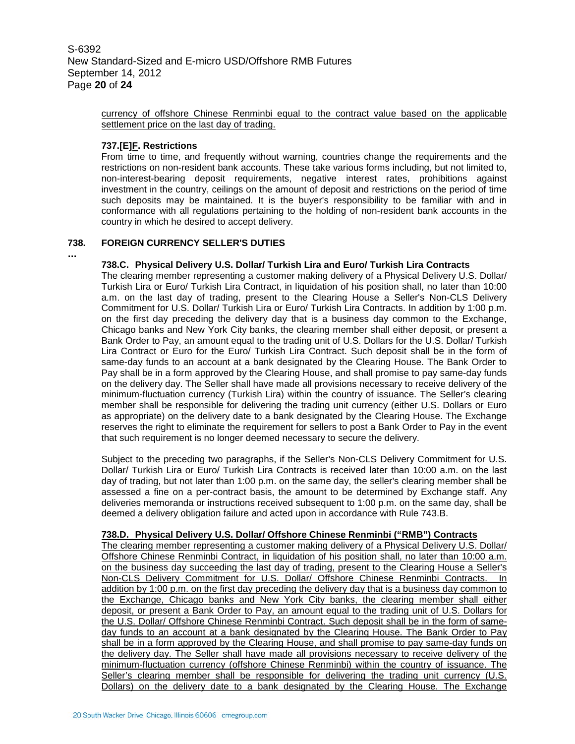S-6392 New Standard-Sized and E-micro USD/Offshore RMB Futures September 14, 2012 Page **20** of **24**

> currency of offshore Chinese Renminbi equal to the contract value based on the applicable settlement price on the last day of trading.

#### **737.[E]F. Restrictions**

**…**

From time to time, and frequently without warning, countries change the requirements and the restrictions on non-resident bank accounts. These take various forms including, but not limited to, non-interest-bearing deposit requirements, negative interest rates, prohibitions against investment in the country, ceilings on the amount of deposit and restrictions on the period of time such deposits may be maintained. It is the buyer's responsibility to be familiar with and in conformance with all regulations pertaining to the holding of non-resident bank accounts in the country in which he desired to accept delivery.

#### **738. FOREIGN CURRENCY SELLER'S DUTIES**

#### **738.C. Physical Delivery U.S. Dollar/ Turkish Lira and Euro/ Turkish Lira Contracts**

The clearing member representing a customer making delivery of a Physical Delivery U.S. Dollar/ Turkish Lira or Euro/ Turkish Lira Contract, in liquidation of his position shall, no later than 10:00 a.m. on the last day of trading, present to the Clearing House a Seller's Non-CLS Delivery Commitment for U.S. Dollar/ Turkish Lira or Euro/ Turkish Lira Contracts. In addition by 1:00 p.m. on the first day preceding the delivery day that is a business day common to the Exchange, Chicago banks and New York City banks, the clearing member shall either deposit, or present a Bank Order to Pay, an amount equal to the trading unit of U.S. Dollars for the U.S. Dollar/ Turkish Lira Contract or Euro for the Euro/ Turkish Lira Contract. Such deposit shall be in the form of same-day funds to an account at a bank designated by the Clearing House. The Bank Order to Pay shall be in a form approved by the Clearing House, and shall promise to pay same-day funds on the delivery day. The Seller shall have made all provisions necessary to receive delivery of the minimum-fluctuation currency (Turkish Lira) within the country of issuance. The Seller's clearing member shall be responsible for delivering the trading unit currency (either U.S. Dollars or Euro as appropriate) on the delivery date to a bank designated by the Clearing House. The Exchange reserves the right to eliminate the requirement for sellers to post a Bank Order to Pay in the event that such requirement is no longer deemed necessary to secure the delivery.

Subject to the preceding two paragraphs, if the Seller's Non-CLS Delivery Commitment for U.S. Dollar/ Turkish Lira or Euro/ Turkish Lira Contracts is received later than 10:00 a.m. on the last day of trading, but not later than 1:00 p.m. on the same day, the seller's clearing member shall be assessed a fine on a per-contract basis, the amount to be determined by Exchange staff. Any deliveries memoranda or instructions received subsequent to 1:00 p.m. on the same day, shall be deemed a delivery obligation failure and acted upon in accordance with Rule 743.B.

#### **738.D. Physical Delivery U.S. Dollar/ Offshore Chinese Renminbi ("RMB") Contracts**

The clearing member representing a customer making delivery of a Physical Delivery U.S. Dollar/ Offshore Chinese Renminbi Contract, in liquidation of his position shall, no later than 10:00 a.m. on the business day succeeding the last day of trading, present to the Clearing House a Seller's Non-CLS Delivery Commitment for U.S. Dollar/ Offshore Chinese Renminbi Contracts. In addition by 1:00 p.m. on the first day preceding the delivery day that is a business day common to the Exchange, Chicago banks and New York City banks, the clearing member shall either deposit, or present a Bank Order to Pay, an amount equal to the trading unit of U.S. Dollars for the U.S. Dollar/ Offshore Chinese Renminbi Contract. Such deposit shall be in the form of sameday funds to an account at a bank designated by the Clearing House. The Bank Order to Pay shall be in a form approved by the Clearing House, and shall promise to pay same-day funds on the delivery day. The Seller shall have made all provisions necessary to receive delivery of the minimum-fluctuation currency (offshore Chinese Renminbi) within the country of issuance. The Seller's clearing member shall be responsible for delivering the trading unit currency (U.S. Dollars) on the delivery date to a bank designated by the Clearing House. The Exchange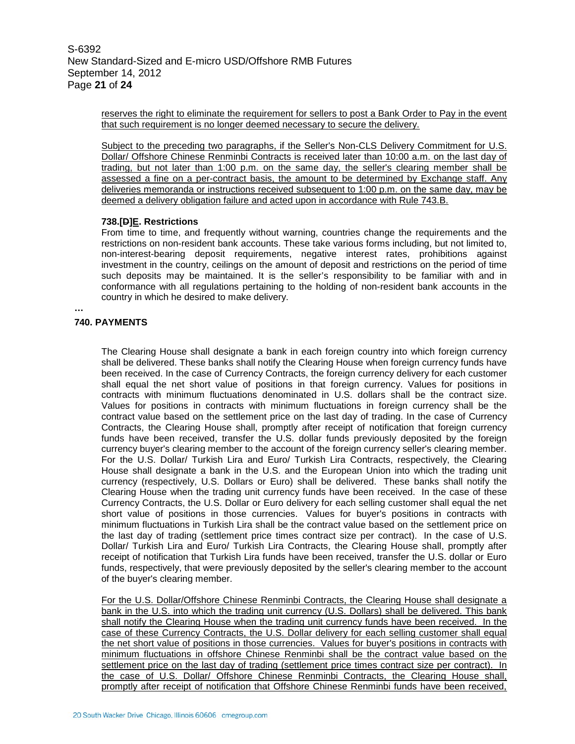S-6392 New Standard-Sized and E-micro USD/Offshore RMB Futures September 14, 2012 Page **21** of **24**

> reserves the right to eliminate the requirement for sellers to post a Bank Order to Pay in the event that such requirement is no longer deemed necessary to secure the delivery.

> Subject to the preceding two paragraphs, if the Seller's Non-CLS Delivery Commitment for U.S. Dollar/ Offshore Chinese Renminbi Contracts is received later than 10:00 a.m. on the last day of trading, but not later than 1:00 p.m. on the same day, the seller's clearing member shall be assessed a fine on a per-contract basis, the amount to be determined by Exchange staff. Any deliveries memoranda or instructions received subsequent to 1:00 p.m. on the same day, may be deemed a delivery obligation failure and acted upon in accordance with Rule 743.B.

#### **738.[D]E. Restrictions**

From time to time, and frequently without warning, countries change the requirements and the restrictions on non-resident bank accounts. These take various forms including, but not limited to, non-interest-bearing deposit requirements, negative interest rates, prohibitions against investment in the country, ceilings on the amount of deposit and restrictions on the period of time such deposits may be maintained. It is the seller's responsibility to be familiar with and in conformance with all regulations pertaining to the holding of non-resident bank accounts in the country in which he desired to make delivery.

### **740. PAYMENTS**

**…**

The Clearing House shall designate a bank in each foreign country into which foreign currency shall be delivered. These banks shall notify the Clearing House when foreign currency funds have been received. In the case of Currency Contracts, the foreign currency delivery for each customer shall equal the net short value of positions in that foreign currency. Values for positions in contracts with minimum fluctuations denominated in U.S. dollars shall be the contract size. Values for positions in contracts with minimum fluctuations in foreign currency shall be the contract value based on the settlement price on the last day of trading. In the case of Currency Contracts, the Clearing House shall, promptly after receipt of notification that foreign currency funds have been received, transfer the U.S. dollar funds previously deposited by the foreign currency buyer's clearing member to the account of the foreign currency seller's clearing member. For the U.S. Dollar/ Turkish Lira and Euro/ Turkish Lira Contracts, respectively, the Clearing House shall designate a bank in the U.S. and the European Union into which the trading unit currency (respectively, U.S. Dollars or Euro) shall be delivered. These banks shall notify the Clearing House when the trading unit currency funds have been received. In the case of these Currency Contracts, the U.S. Dollar or Euro delivery for each selling customer shall equal the net short value of positions in those currencies. Values for buyer's positions in contracts with minimum fluctuations in Turkish Lira shall be the contract value based on the settlement price on the last day of trading (settlement price times contract size per contract). In the case of U.S. Dollar/ Turkish Lira and Euro/ Turkish Lira Contracts, the Clearing House shall, promptly after receipt of notification that Turkish Lira funds have been received, transfer the U.S. dollar or Euro funds, respectively, that were previously deposited by the seller's clearing member to the account of the buyer's clearing member.

For the U.S. Dollar/Offshore Chinese Renminbi Contracts, the Clearing House shall designate a bank in the U.S. into which the trading unit currency (U.S. Dollars) shall be delivered. This bank shall notify the Clearing House when the trading unit currency funds have been received. In the case of these Currency Contracts, the U.S. Dollar delivery for each selling customer shall equal the net short value of positions in those currencies. Values for buyer's positions in contracts with minimum fluctuations in offshore Chinese Renminbi shall be the contract value based on the settlement price on the last day of trading (settlement price times contract size per contract). In the case of U.S. Dollar/ Offshore Chinese Renminbi Contracts, the Clearing House shall, promptly after receipt of notification that Offshore Chinese Renminbi funds have been received,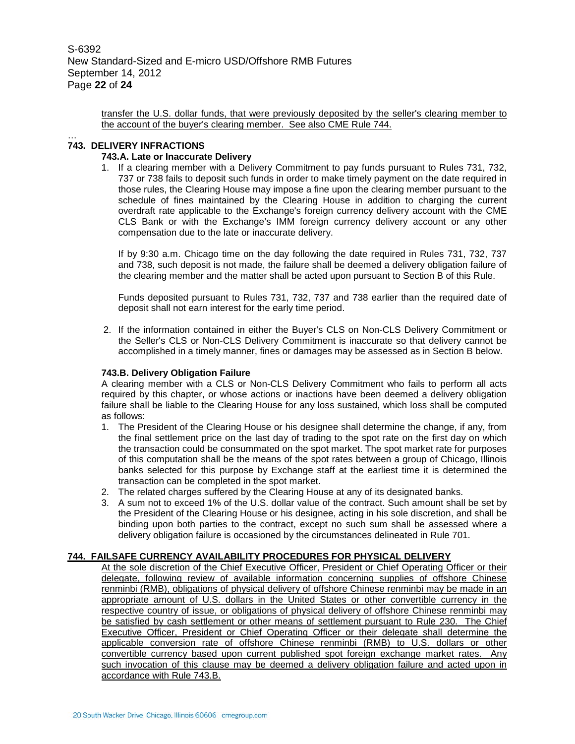transfer the U.S. dollar funds, that were previously deposited by the seller's clearing member to the account of the buyer's clearing member. See also CME Rule 744.

#### … **743. DELIVERY INFRACTIONS**

#### **743.A. Late or Inaccurate Delivery**

1. If a clearing member with a Delivery Commitment to pay funds pursuant to Rules 731, 732, 737 or 738 fails to deposit such funds in order to make timely payment on the date required in those rules, the Clearing House may impose a fine upon the clearing member pursuant to the schedule of fines maintained by the Clearing House in addition to charging the current overdraft rate applicable to the Exchange's foreign currency delivery account with the CME CLS Bank or with the Exchange's IMM foreign currency delivery account or any other compensation due to the late or inaccurate delivery.

If by 9:30 a.m. Chicago time on the day following the date required in Rules 731, 732, 737 and 738, such deposit is not made, the failure shall be deemed a delivery obligation failure of the clearing member and the matter shall be acted upon pursuant to Section B of this Rule.

Funds deposited pursuant to Rules 731, 732, 737 and 738 earlier than the required date of deposit shall not earn interest for the early time period.

2. If the information contained in either the Buyer's CLS on Non-CLS Delivery Commitment or the Seller's CLS or Non-CLS Delivery Commitment is inaccurate so that delivery cannot be accomplished in a timely manner, fines or damages may be assessed as in Section B below.

#### **743.B. Delivery Obligation Failure**

A clearing member with a CLS or Non-CLS Delivery Commitment who fails to perform all acts required by this chapter, or whose actions or inactions have been deemed a delivery obligation failure shall be liable to the Clearing House for any loss sustained, which loss shall be computed as follows:

- 1. The President of the Clearing House or his designee shall determine the change, if any, from the final settlement price on the last day of trading to the spot rate on the first day on which the transaction could be consummated on the spot market. The spot market rate for purposes of this computation shall be the means of the spot rates between a group of Chicago, Illinois banks selected for this purpose by Exchange staff at the earliest time it is determined the transaction can be completed in the spot market.
- 2. The related charges suffered by the Clearing House at any of its designated banks.
- 3. A sum not to exceed 1% of the U.S. dollar value of the contract. Such amount shall be set by the President of the Clearing House or his designee, acting in his sole discretion, and shall be binding upon both parties to the contract, except no such sum shall be assessed where a delivery obligation failure is occasioned by the circumstances delineated in Rule 701.

#### **744. FAILSAFE CURRENCY AVAILABILITY PROCEDURES FOR PHYSICAL DELIVERY**

At the sole discretion of the Chief Executive Officer, President or Chief Operating Officer or their delegate, following review of available information concerning supplies of offshore Chinese renminbi (RMB), obligations of physical delivery of offshore Chinese renminbi may be made in an appropriate amount of U.S. dollars in the United States or other convertible currency in the respective country of issue, or obligations of physical delivery of offshore Chinese renminbi may be satisfied by cash settlement or other means of settlement pursuant to Rule 230. The Chief Executive Officer, President or Chief Operating Officer or their delegate shall determine the applicable conversion rate of offshore Chinese renminbi (RMB) to U.S. dollars or other convertible currency based upon current published spot foreign exchange market rates. Any such invocation of this clause may be deemed a delivery obligation failure and acted upon in accordance with Rule 743.B.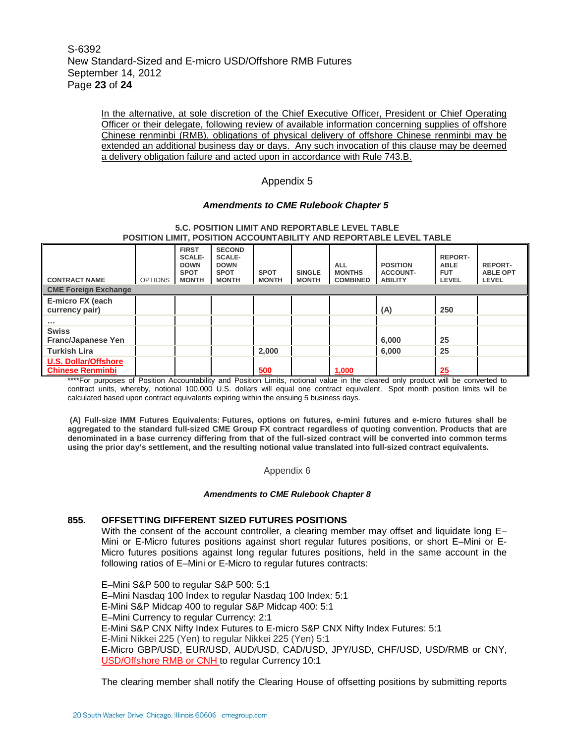In the alternative, at sole discretion of the Chief Executive Officer, President or Chief Operating Officer or their delegate, following review of available information concerning supplies of offshore Chinese renminbi (RMB), obligations of physical delivery of offshore Chinese renminbi may be extended an additional business day or days. Any such invocation of this clause may be deemed a delivery obligation failure and acted upon in accordance with Rule 743.B.

### Appendix 5

#### *Amendments to CME Rulebook Chapter 5*

| POSITION LIMIT, POSITION ACCOUNTABILITY AND REPORTABLE LEVEL TABLE |                |                                                                             |                                                                              |                             |                               |                                                |                                                      |                                                             |                                            |
|--------------------------------------------------------------------|----------------|-----------------------------------------------------------------------------|------------------------------------------------------------------------------|-----------------------------|-------------------------------|------------------------------------------------|------------------------------------------------------|-------------------------------------------------------------|--------------------------------------------|
| <b>CONTRACT NAME</b>                                               | <b>OPTIONS</b> | <b>FIRST</b><br><b>SCALE-</b><br><b>DOWN</b><br><b>SPOT</b><br><b>MONTH</b> | <b>SECOND</b><br><b>SCALE-</b><br><b>DOWN</b><br><b>SPOT</b><br><b>MONTH</b> | <b>SPOT</b><br><b>MONTH</b> | <b>SINGLE</b><br><b>MONTH</b> | <b>ALL</b><br><b>MONTHS</b><br><b>COMBINED</b> | <b>POSITION</b><br><b>ACCOUNT-</b><br><b>ABILITY</b> | <b>REPORT-</b><br><b>ABLE</b><br><b>FUT</b><br><b>LEVEL</b> | <b>REPORT-</b><br><b>ABLE OPT</b><br>LEVEL |
| <b>CME Foreign Exchange</b>                                        |                |                                                                             |                                                                              |                             |                               |                                                |                                                      |                                                             |                                            |
| E-micro FX (each<br>currency pair)                                 |                |                                                                             |                                                                              |                             |                               |                                                | (A)                                                  | 250                                                         |                                            |
| .                                                                  |                |                                                                             |                                                                              |                             |                               |                                                |                                                      |                                                             |                                            |
| <b>Swiss</b><br><b>Franc/Japanese Yen</b>                          |                |                                                                             |                                                                              |                             |                               |                                                | 6,000                                                | 25                                                          |                                            |
| Turkish Lira                                                       |                |                                                                             |                                                                              | 2,000                       |                               |                                                | 6,000                                                | 25                                                          |                                            |
| <b>U.S. Dollar/Offshore</b><br><b>Chinese Renminbi</b>             |                |                                                                             |                                                                              | 500                         |                               | 1,000                                          |                                                      | 25                                                          |                                            |

#### **5.C. POSITION LIMIT AND REPORTABLE LEVEL TABLE POSITION LIMIT, POSITION ACCOUNTABILITY AND REPORTABLE LEVEL TABLE**

\*\*\*\*For purposes of Position Accountability and Position Limits, notional value in the cleared only product will be converted to contract units, whereby, notional 100,000 U.S. dollars will equal one contract equivalent. Spot month position limits will be calculated based upon contract equivalents expiring within the ensuing 5 business days.

**(A) Full-size IMM Futures Equivalents: Futures, options on futures, e-mini futures and e-micro futures shall be aggregated to the standard full-sized CME Group FX contract regardless of quoting convention. Products that are denominated in a base currency differing from that of the full-sized contract will be converted into common terms using the prior day's settlement, and the resulting notional value translated into full-sized contract equivalents.**

Appendix 6

#### *Amendments to CME Rulebook Chapter 8*

#### **855. OFFSETTING DIFFERENT SIZED FUTURES POSITIONS**

With the consent of the account controller, a clearing member may offset and liquidate long E– Mini or E-Micro futures positions against short regular futures positions, or short E–Mini or E-Micro futures positions against long regular futures positions, held in the same account in the following ratios of E–Mini or E-Micro to regular futures contracts:

E–Mini S&P 500 to regular S&P 500: 5:1 E–Mini Nasdaq 100 Index to regular Nasdaq 100 Index: 5:1 E-Mini S&P Midcap 400 to regular S&P Midcap 400: 5:1 E–Mini Currency to regular Currency: 2:1 E-Mini S&P CNX Nifty Index Futures to E-micro S&P CNX Nifty Index Futures: 5:1 E-Mini Nikkei 225 (Yen) to regular Nikkei 225 (Yen) 5:1 E-Micro GBP/USD, EUR/USD, AUD/USD, CAD/USD, JPY/USD, CHF/USD, USD/RMB or CNY, USD/Offshore RMB or CNH to regular Currency 10:1

The clearing member shall notify the Clearing House of offsetting positions by submitting reports